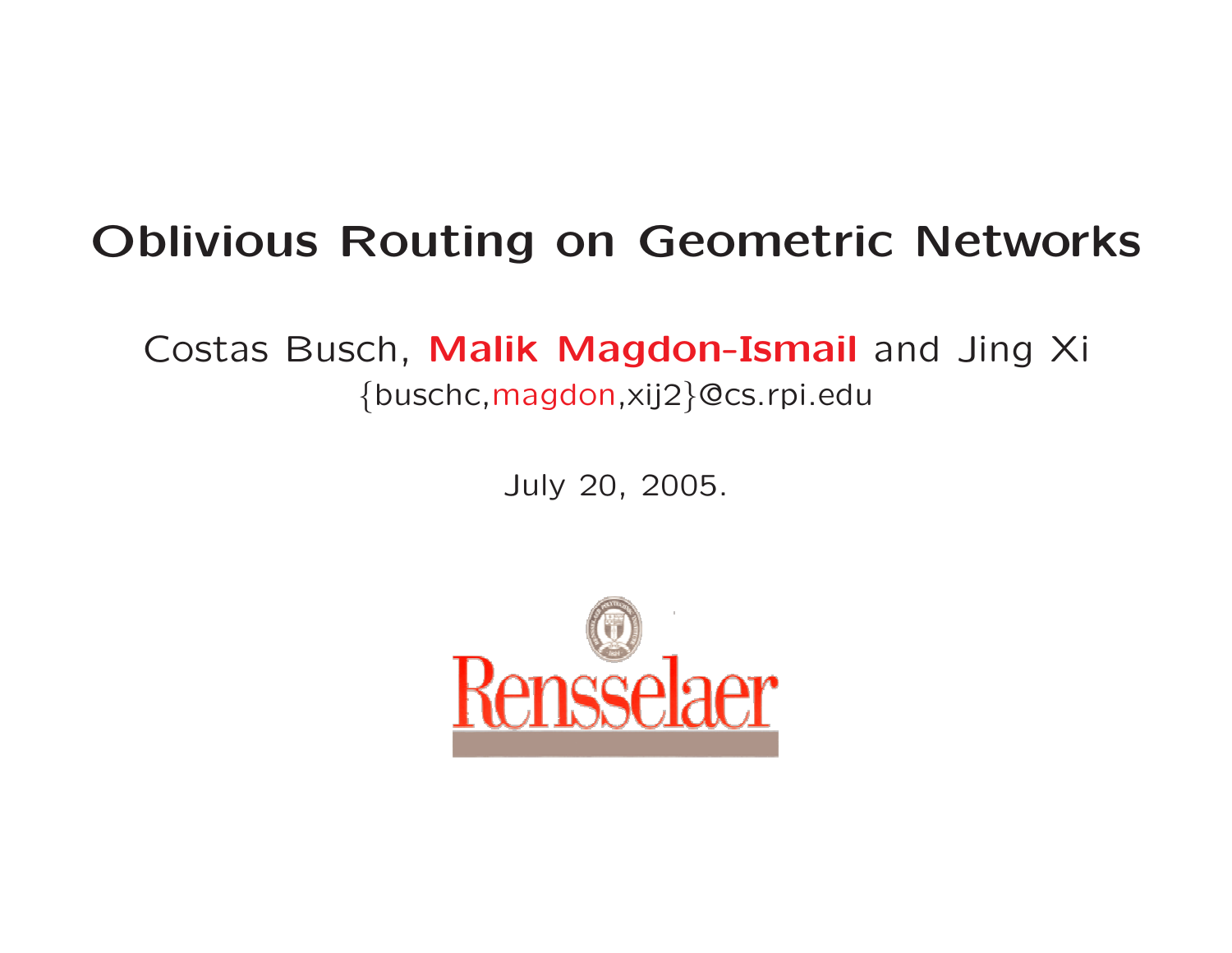#### Oblivious Routing on Geometric Networks

#### Costas Busch, Malik Magdon-Ismail and Jing Xi {buschc,magdon,xij2 }@cs.rpi.edu

July 20, 2005.

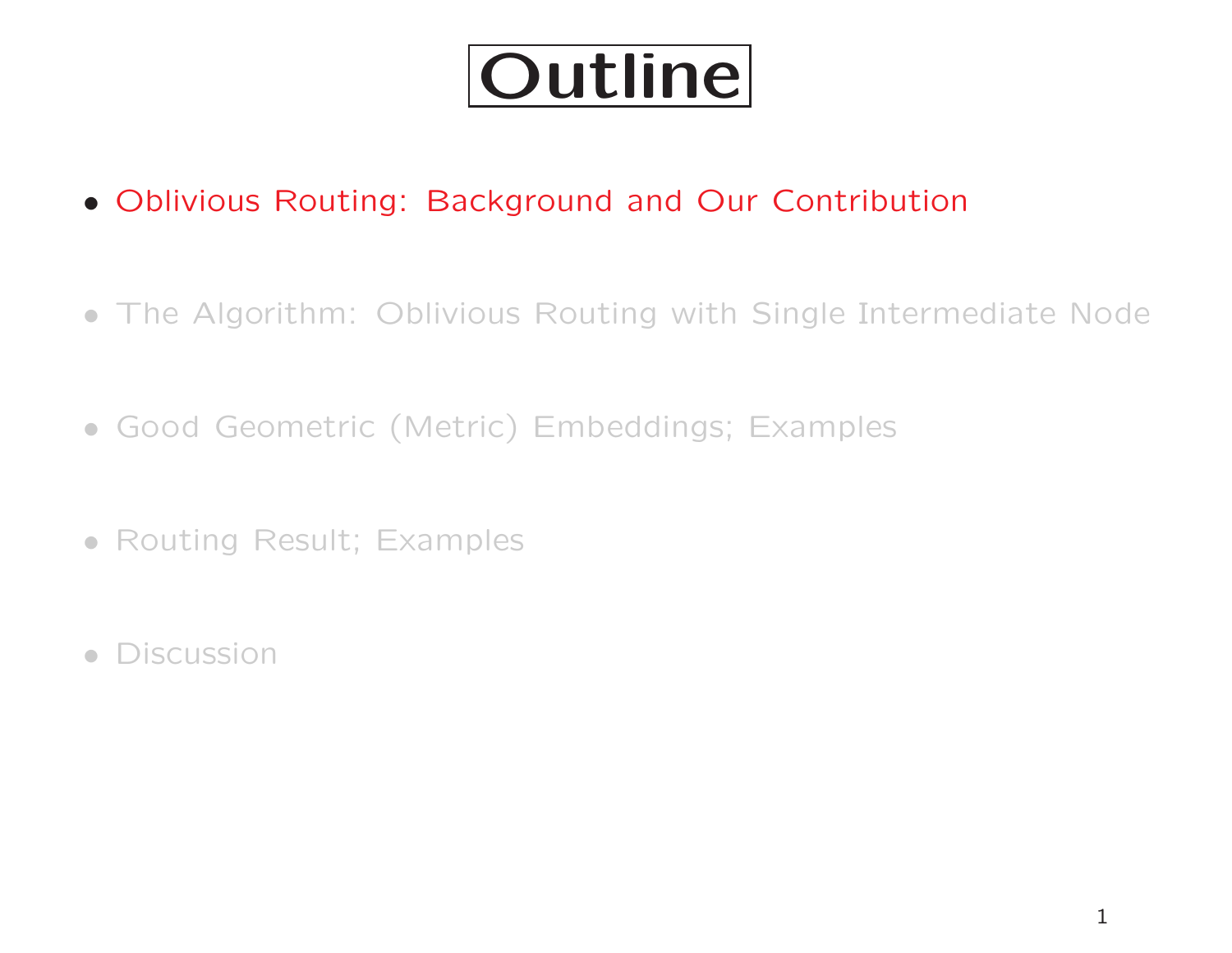

- Oblivious Routing: Background and Our Contribution
- The Algorithm: Oblivious Routing with Single Intermediate Node
- Good Geometric (Metric) Embeddings; Examples
- Routing Result; Examples
- Discussion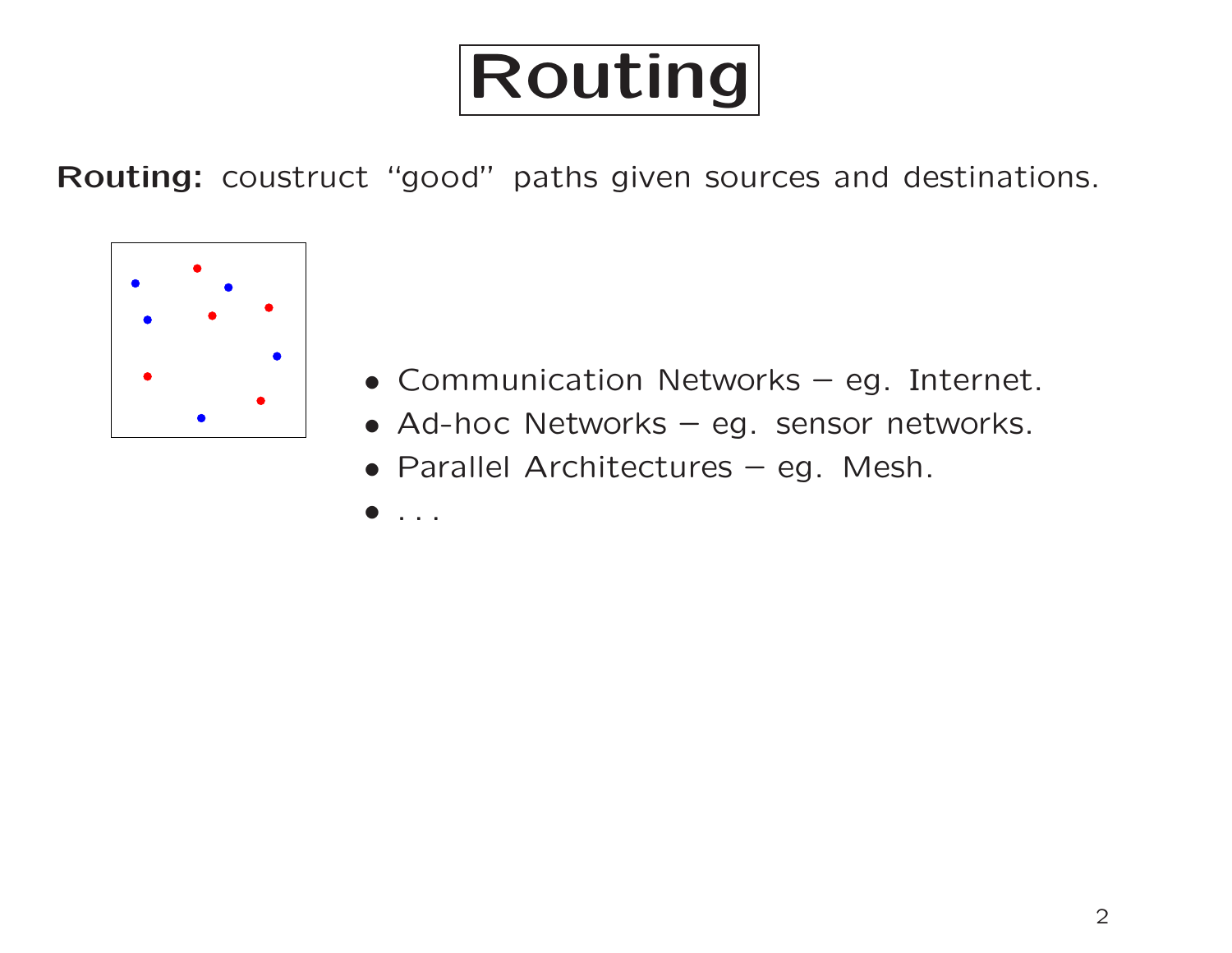

Routing: coustruct "good" paths given sources and destinations.



- Communication Networks eg. Internet.
- Ad-hoc Networks eg. sensor networks.
- Parallel Architectures eg. Mesh.
- . . .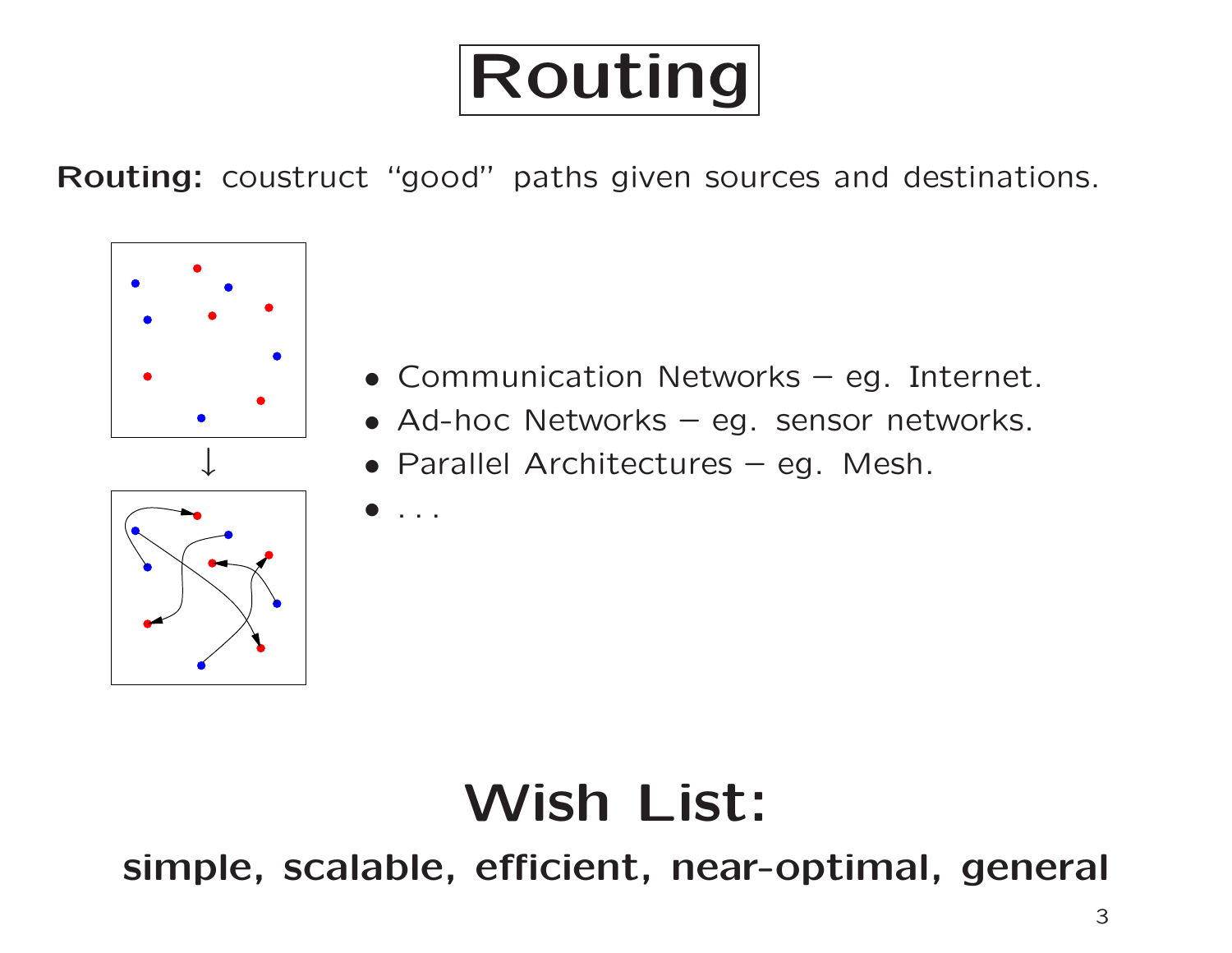

Routing: coustruct "good" paths given sources and destinations.



- Communication Networks eg. Internet.
- Ad-hoc Networks eg. sensor networks.
- Parallel Architectures eg. Mesh.
- $\bullet$  . . .

#### Wish List:

simple, scalable, efficient, near-optimal, general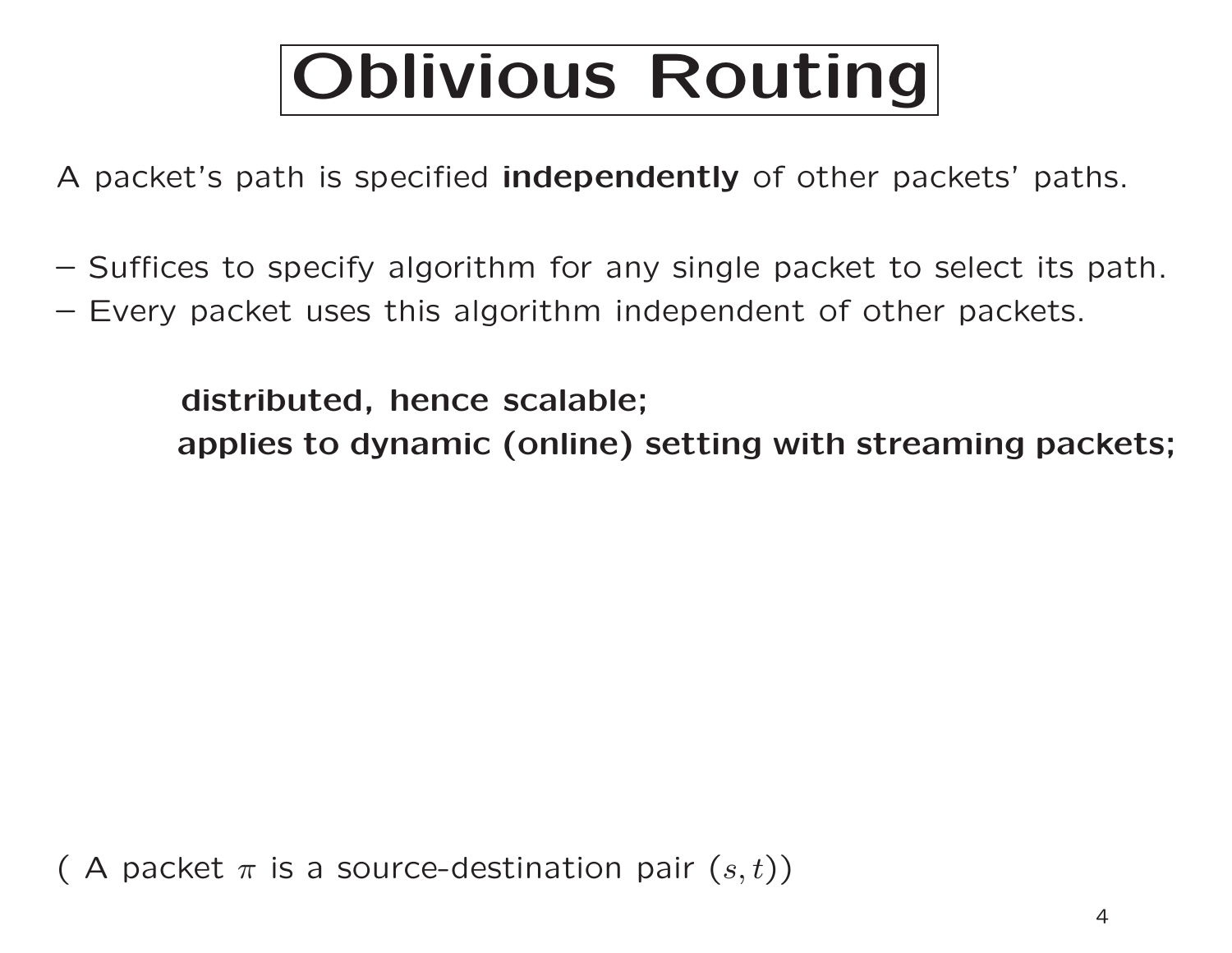# Oblivious Routing

A packet's path is specified independently of other packets' paths.

- Suffices to specify algorithm for any single packet to select its path.
- Every packet uses this algorithm independent of other packets.

distributed, hence scalable;

applies to dynamic (online) setting with streaming packets;

( A packet  $\pi$  is a source-destination pair  $(s,t))$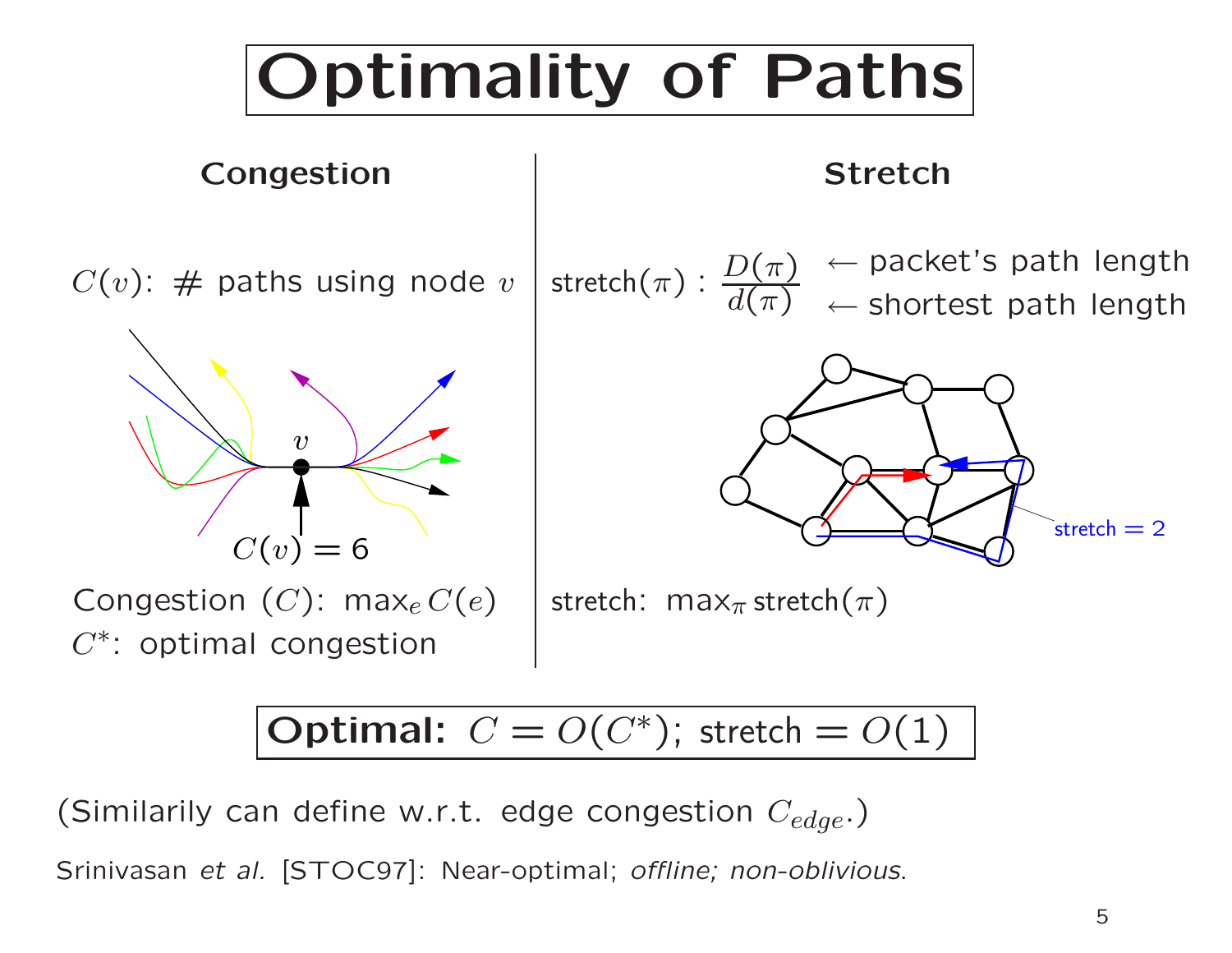

Optimal:  $C = O(C^*)$ ; stretch =  $O(1)$ 

(Similarily can define w.r.t. edge congestion  $C_{edge}$ .)

Srinivasan et al. [STOC97]: Near-optimal; offline; non-oblivious.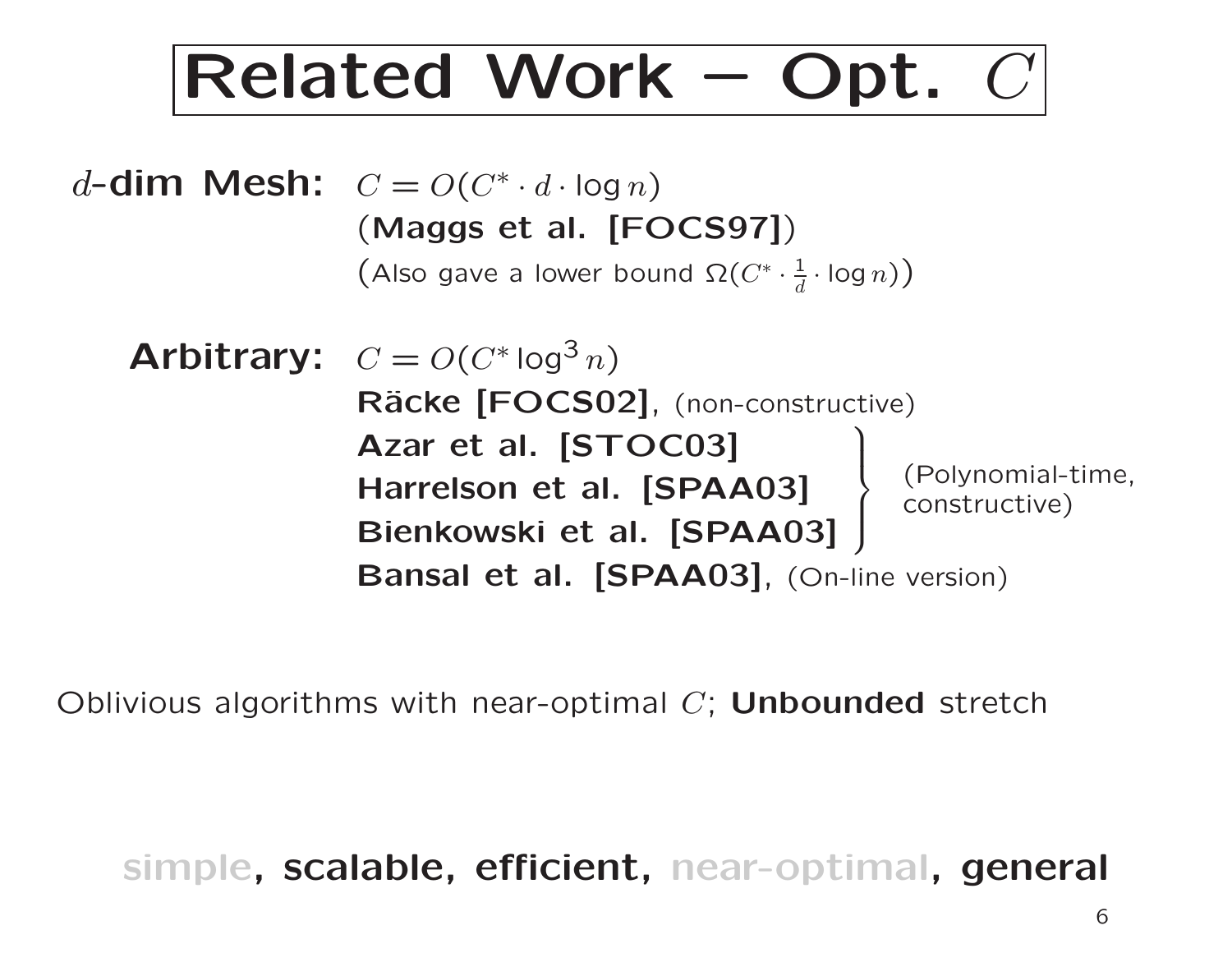## Related Work – Opt. C

d-dim Mesh:  $C = O(C^* \cdot d \cdot \log n)$ (Maggs et al. [FOCS97] )  $\big($  Also gave a lower bound  $\Omega(C^*\cdot \frac{1}{d})$  $\frac{1}{d}\cdot \mathsf{log}\,n)\big)$ 

Arbitrary:  $C = O(C^* \log^3 n)$ Räcke [FOCS02], (non-constructive) Azar et al. [STOC03] Azar et al. [S I OCU3]<br>Harrelson et al. [SPAA03] Bienkowski et al. [SPAA03] ا۔<br>(  $\int$ (Polynomial-time, constructive) Bansal et al. [SPAA03], (On-line version)

Oblivious algorithms with near-optimal  $C;$  Unbounded stretch

simple, scalable, efficient, near-optimal, general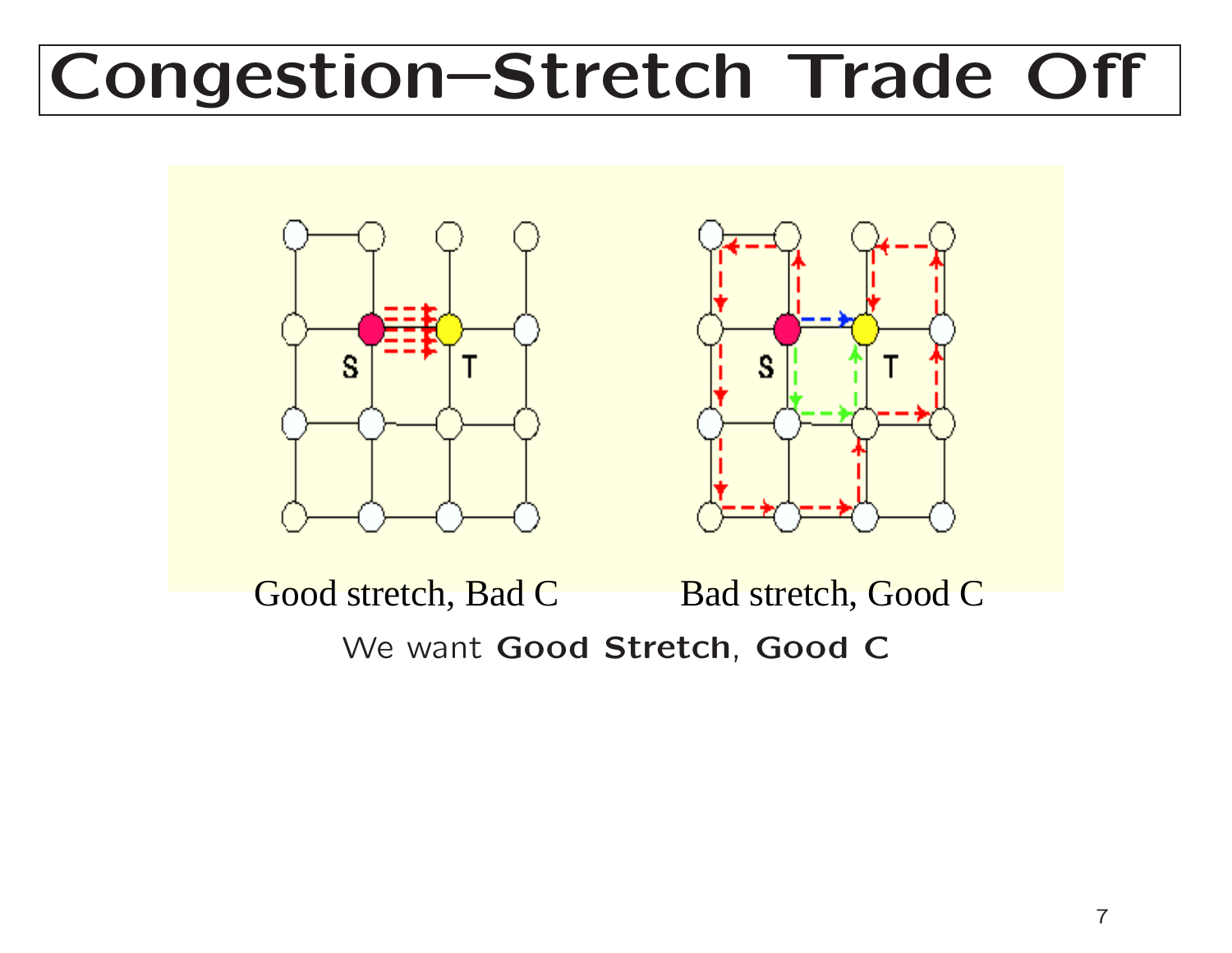## Congestion–Stretch Trade Off





Good stretch, Bad C Bad stretch, Good C We want Good Stretch, Good C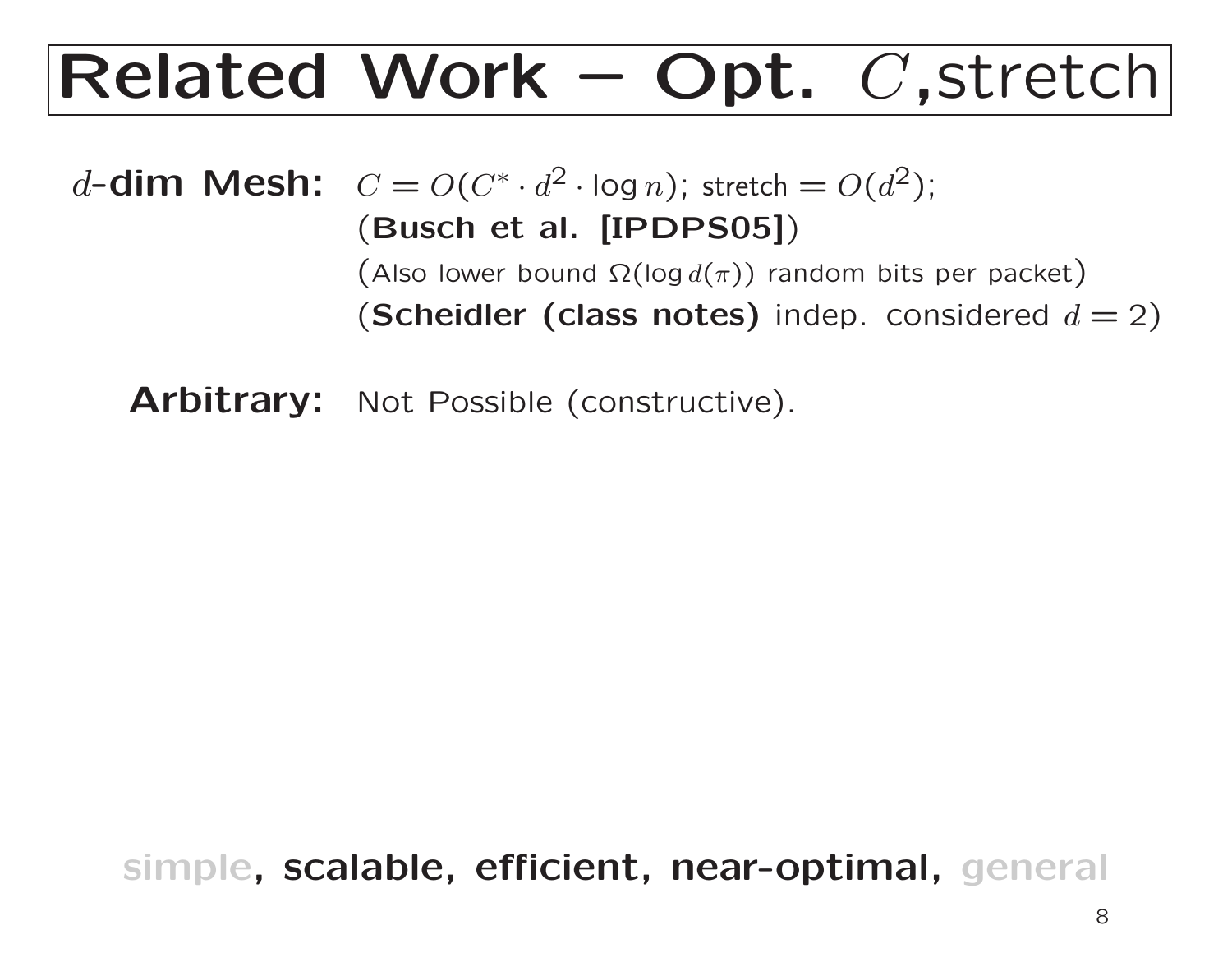### Related Work – Opt. C ,stretch

 $d$ -dim Mesh:  $C = O(C^* \cdot d^2 \cdot \log n)$ ; stretch  $= O(d^2)$ ; (Busch et al. [IPDPS05] )  $\big(\operatorname{\mathsf{Also}}$  lower bound  $\Omega(\log d(\pi))$  random bits per packet) (Scheidler (class notes) indep. considered  $d=2)$ 

Arbitrary: Not Possible (constructive).

simple, scalable, efficient, near-optimal, general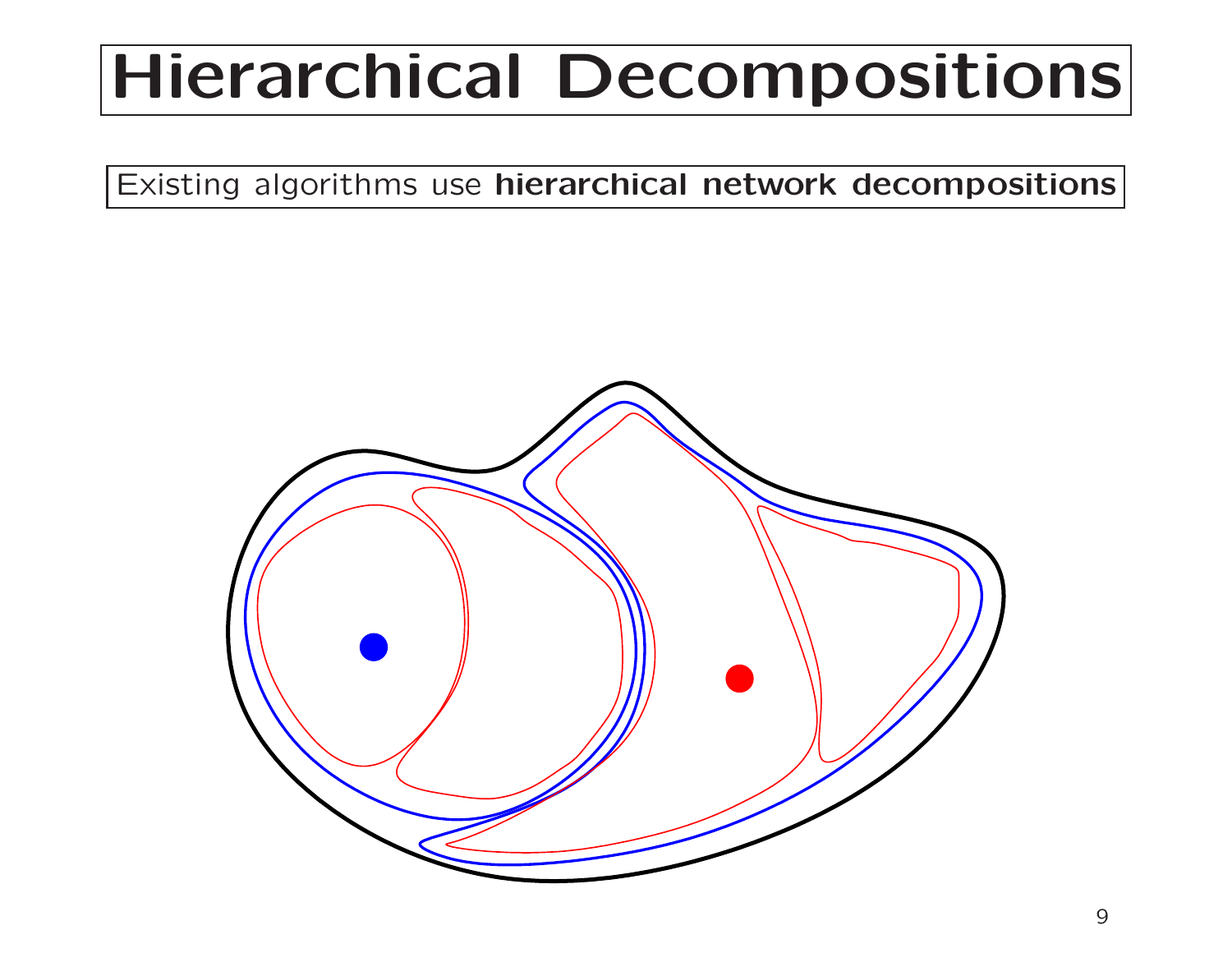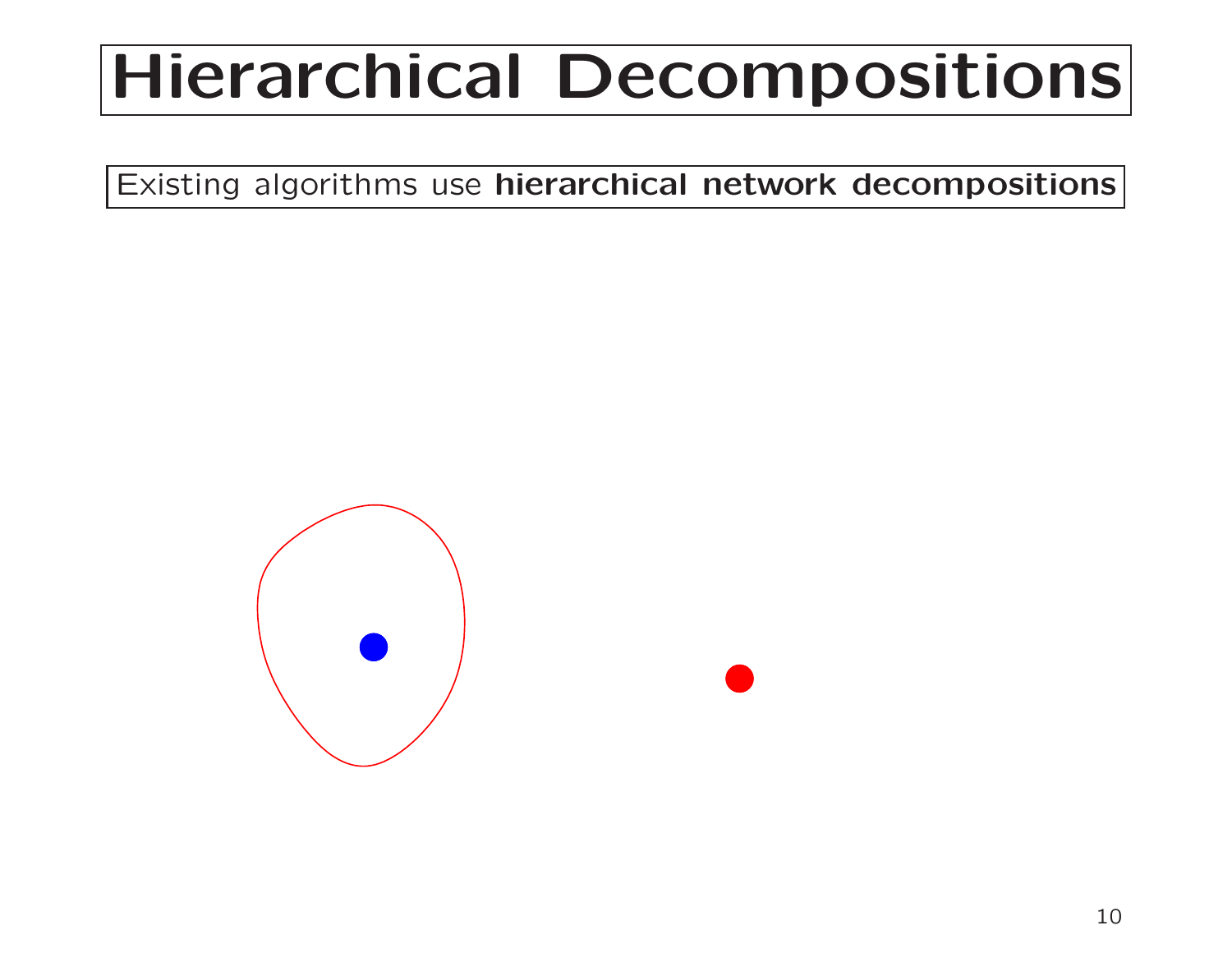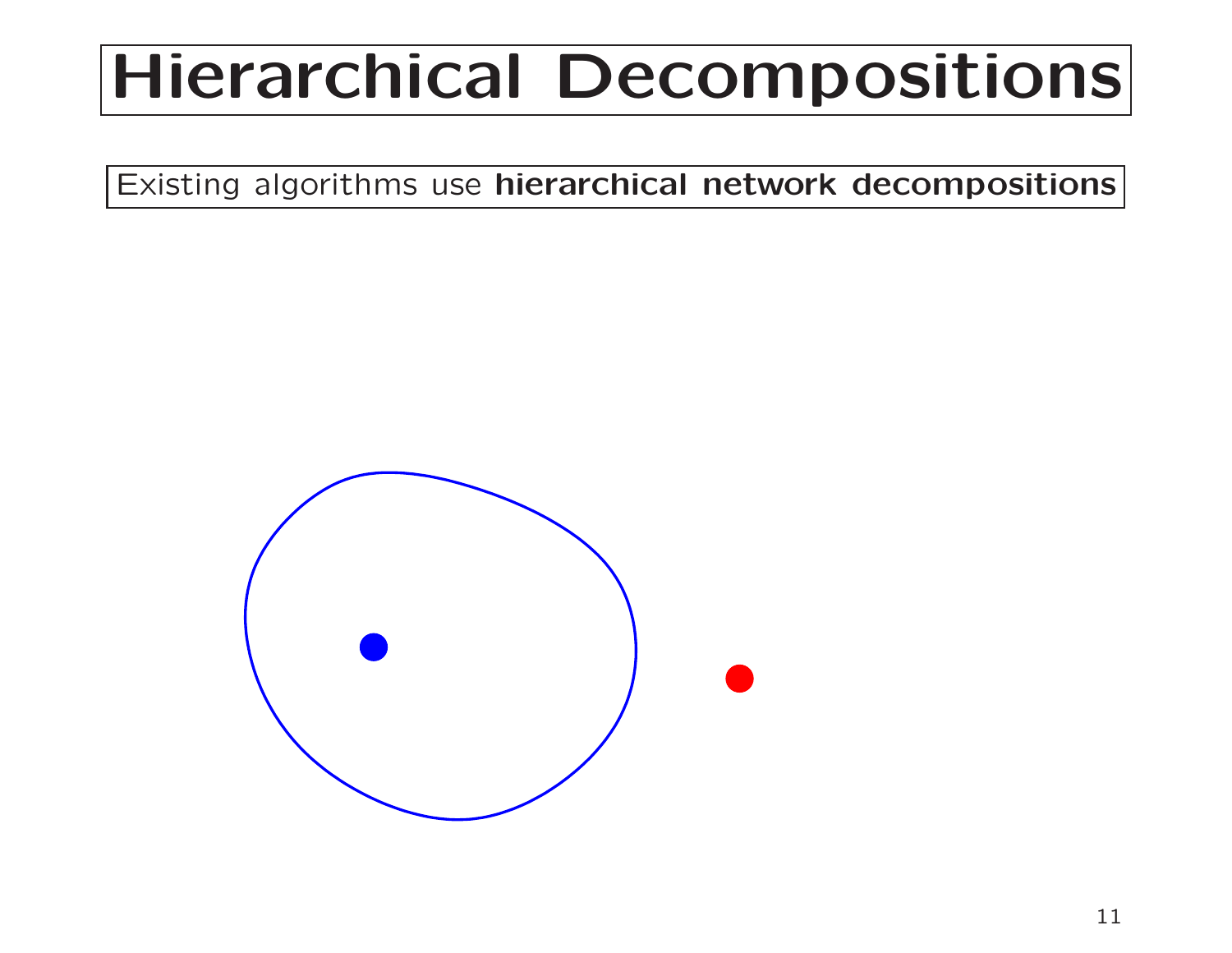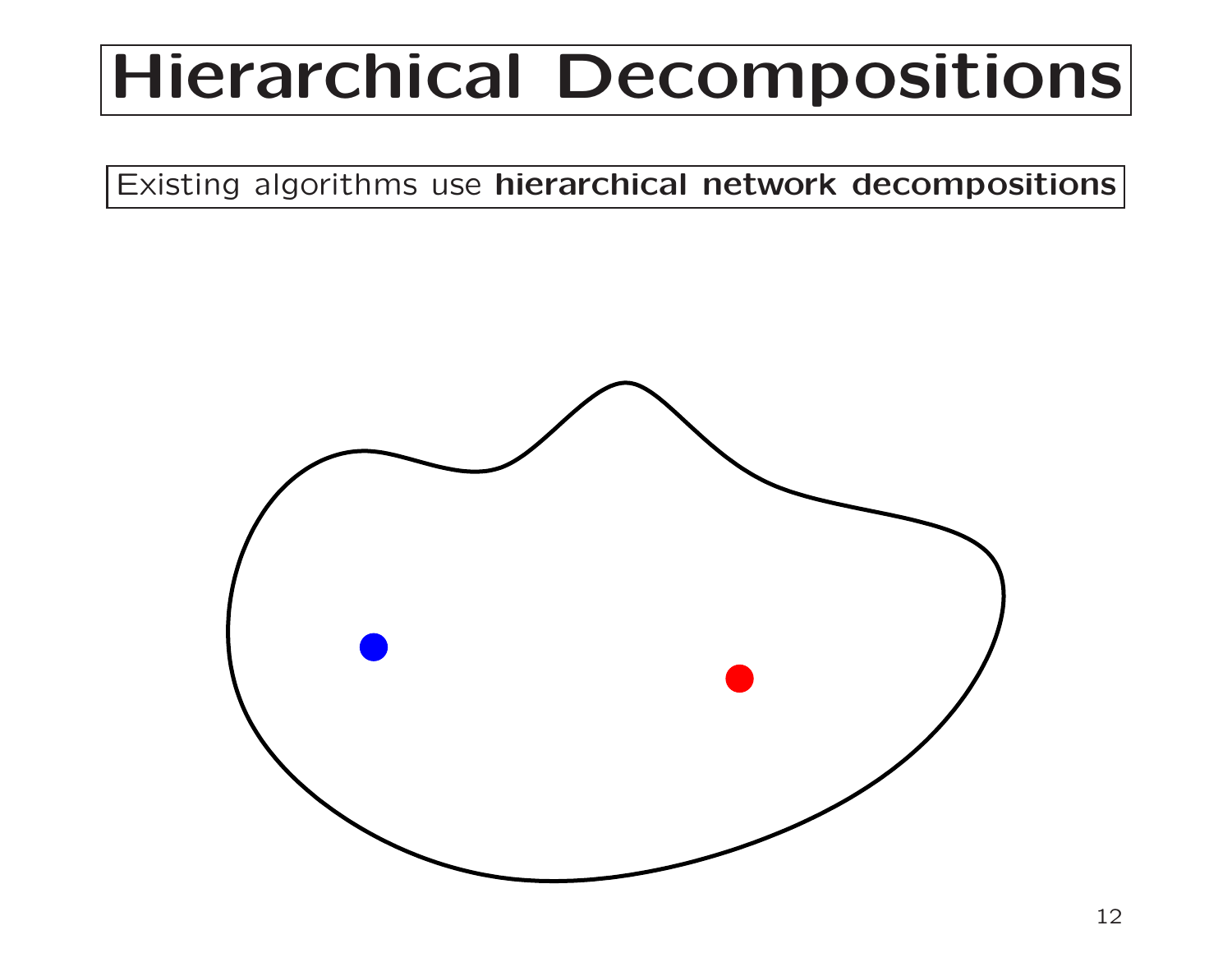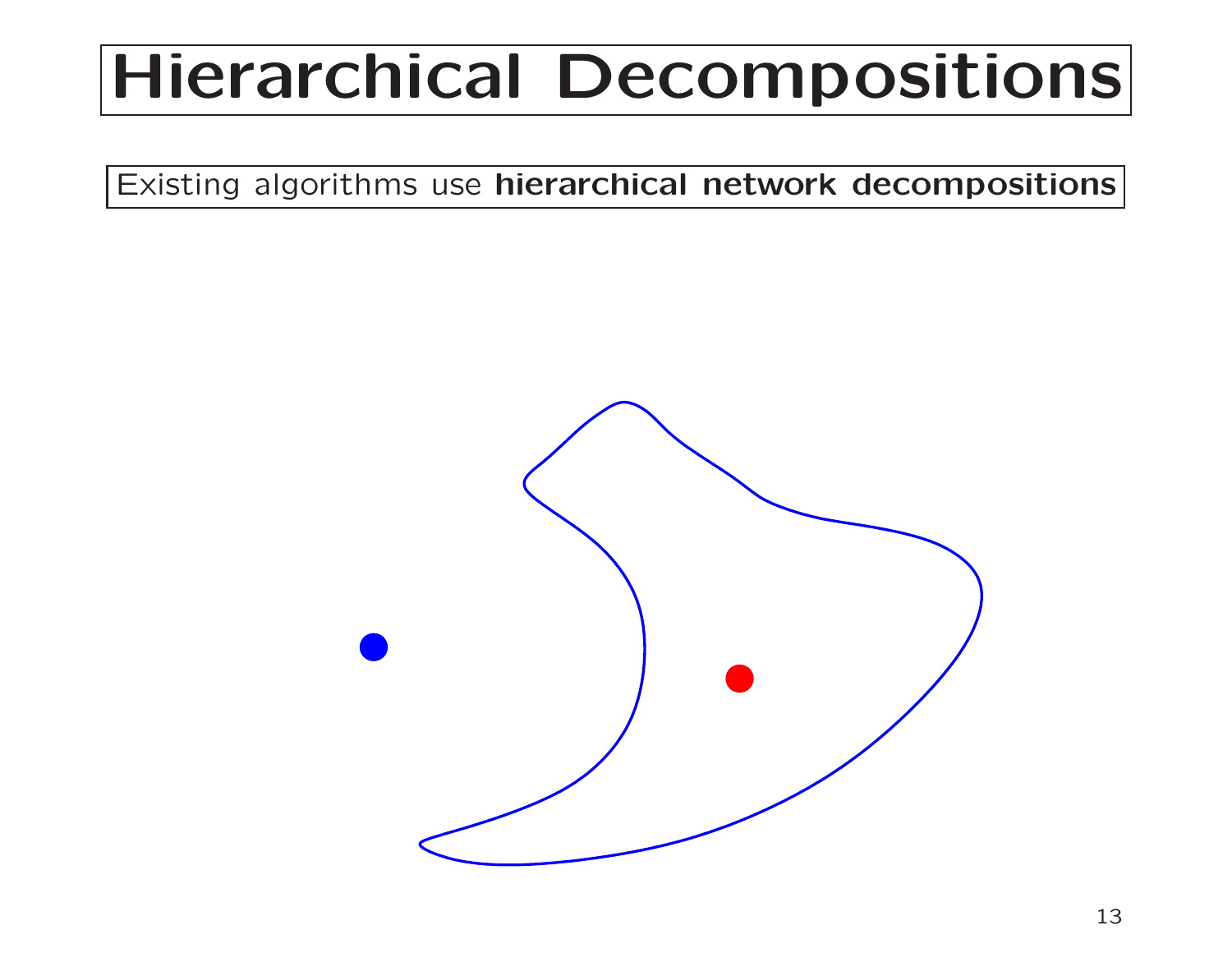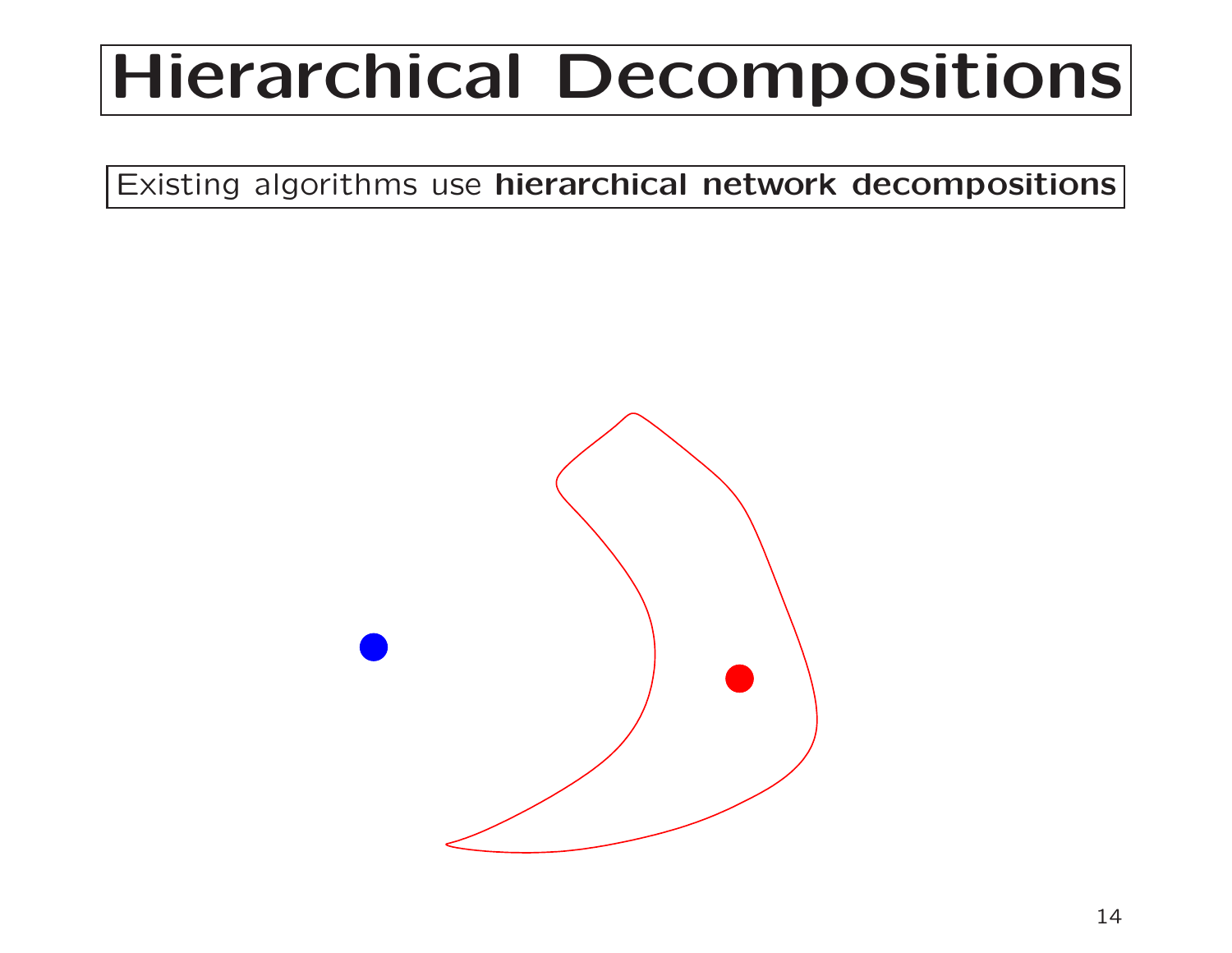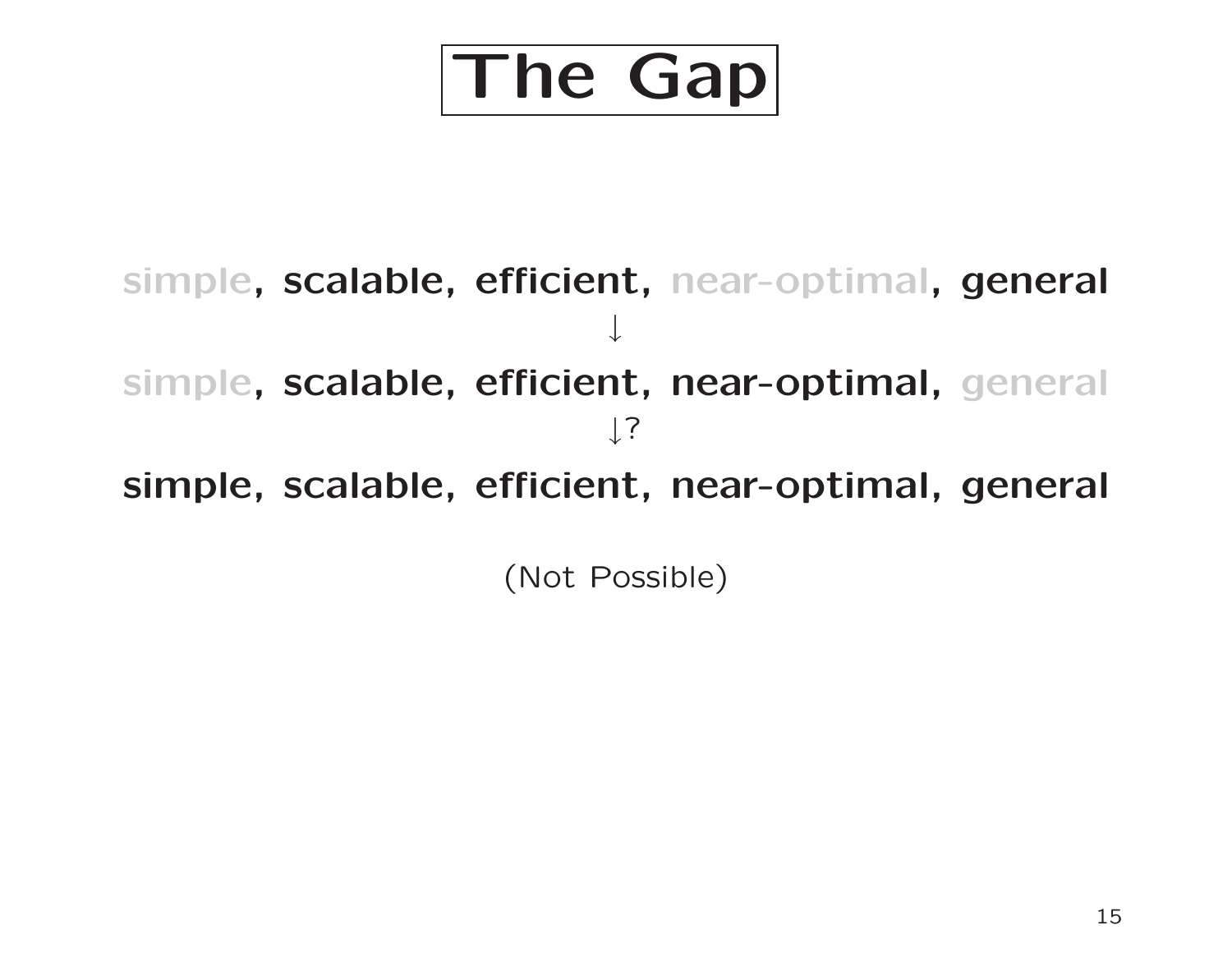

simple, scalable, efficient, near-optimal, general ↓ simple, scalable, efficient, near-optimal, general ↓? simple, scalable, efficient, near-optimal, general (Not Possible)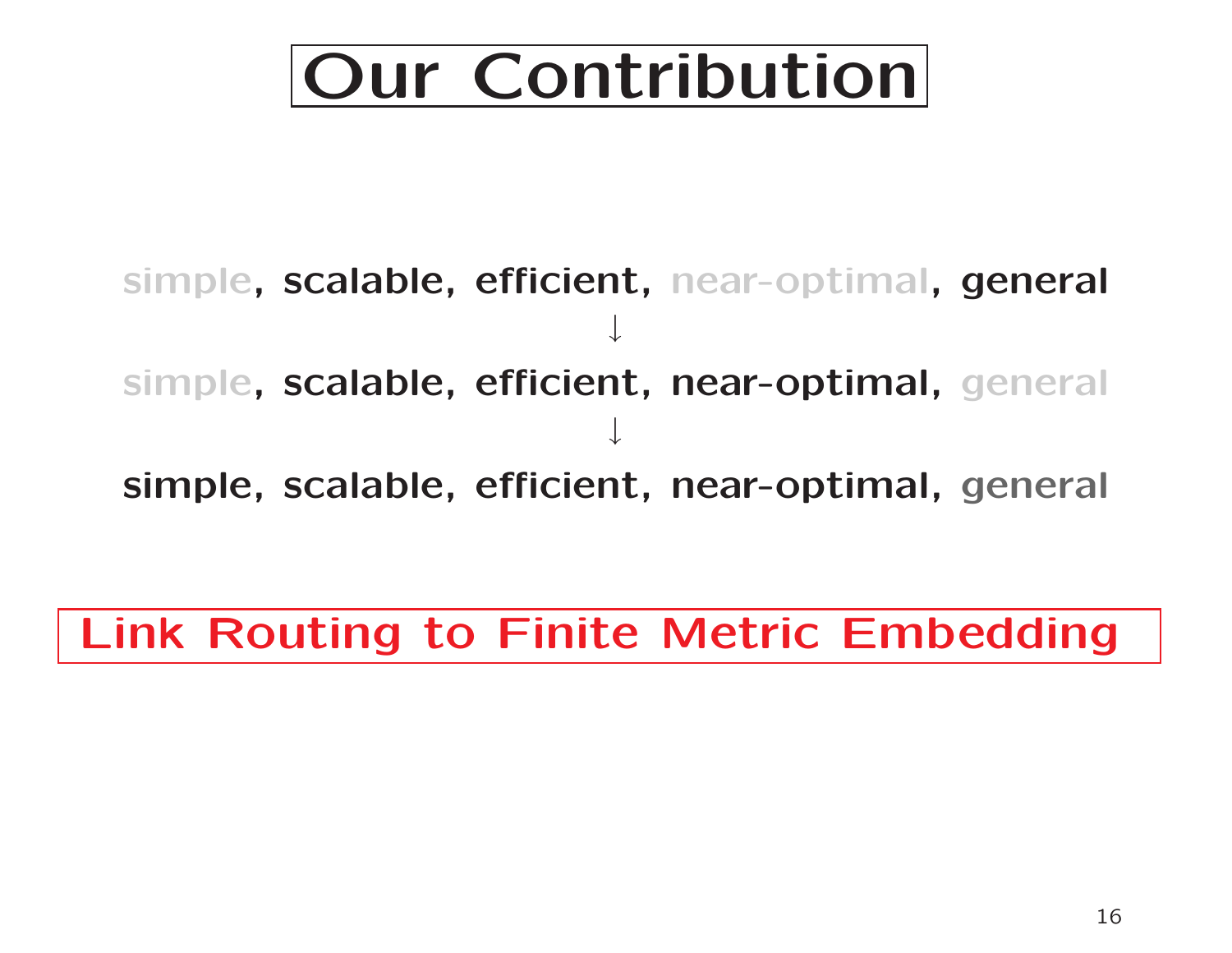## Our Contribution

simple, scalable, efficient, near-optimal, general ↓ simple, scalable, efficient, near-optimal, general ↓ simple, scalable, efficient, near-optimal, general

Link Routing to Finite Metric Embedding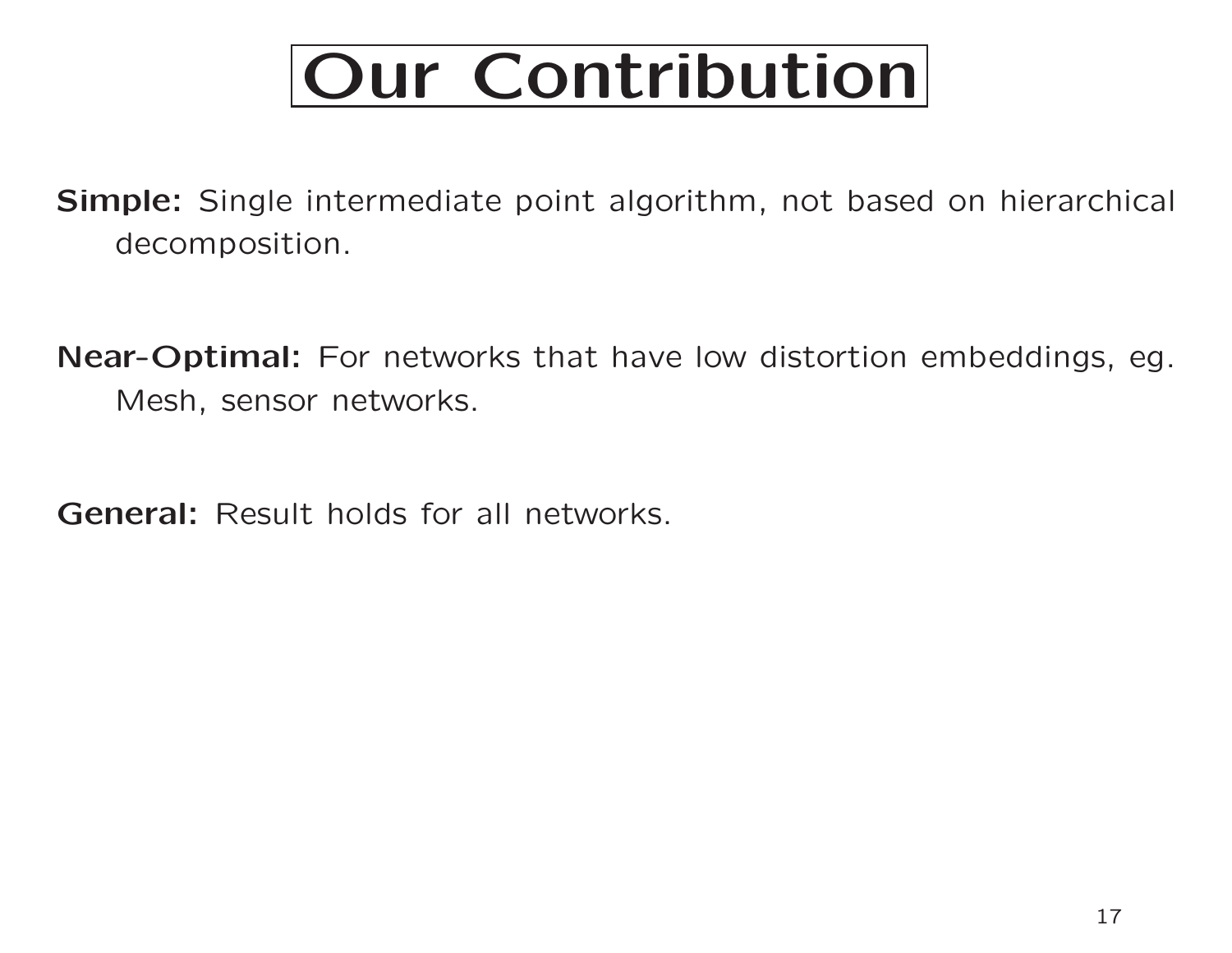## Our Contribution

Simple: Single intermediate point algorithm, not based on hierarchical decomposition.

Near-Optimal: For networks that have low distortion embeddings, eg. Mesh, sensor networks.

General: Result holds for all networks.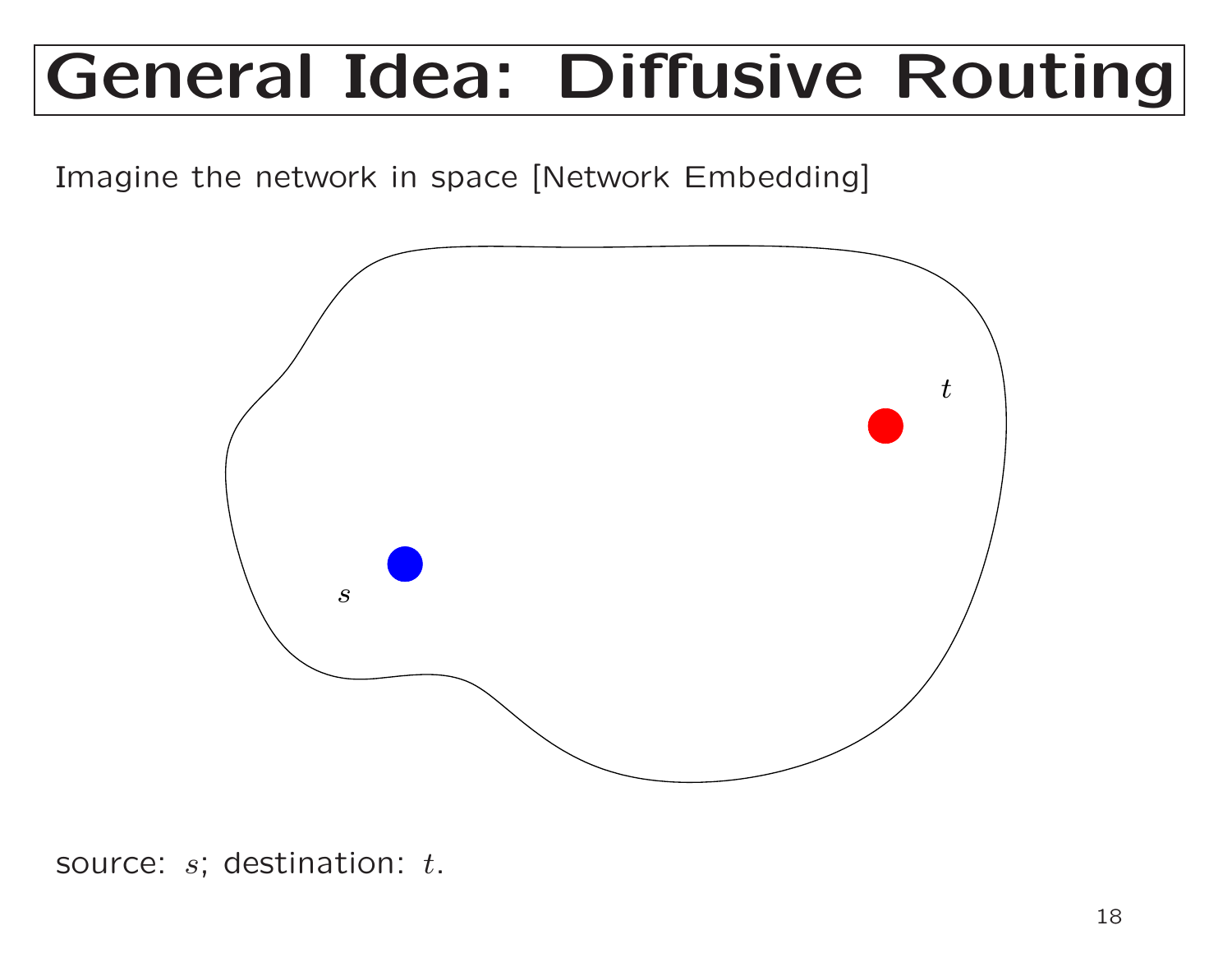Imagine the network in space [Network Embedding]



source:  $s$ ; destination:  $t.$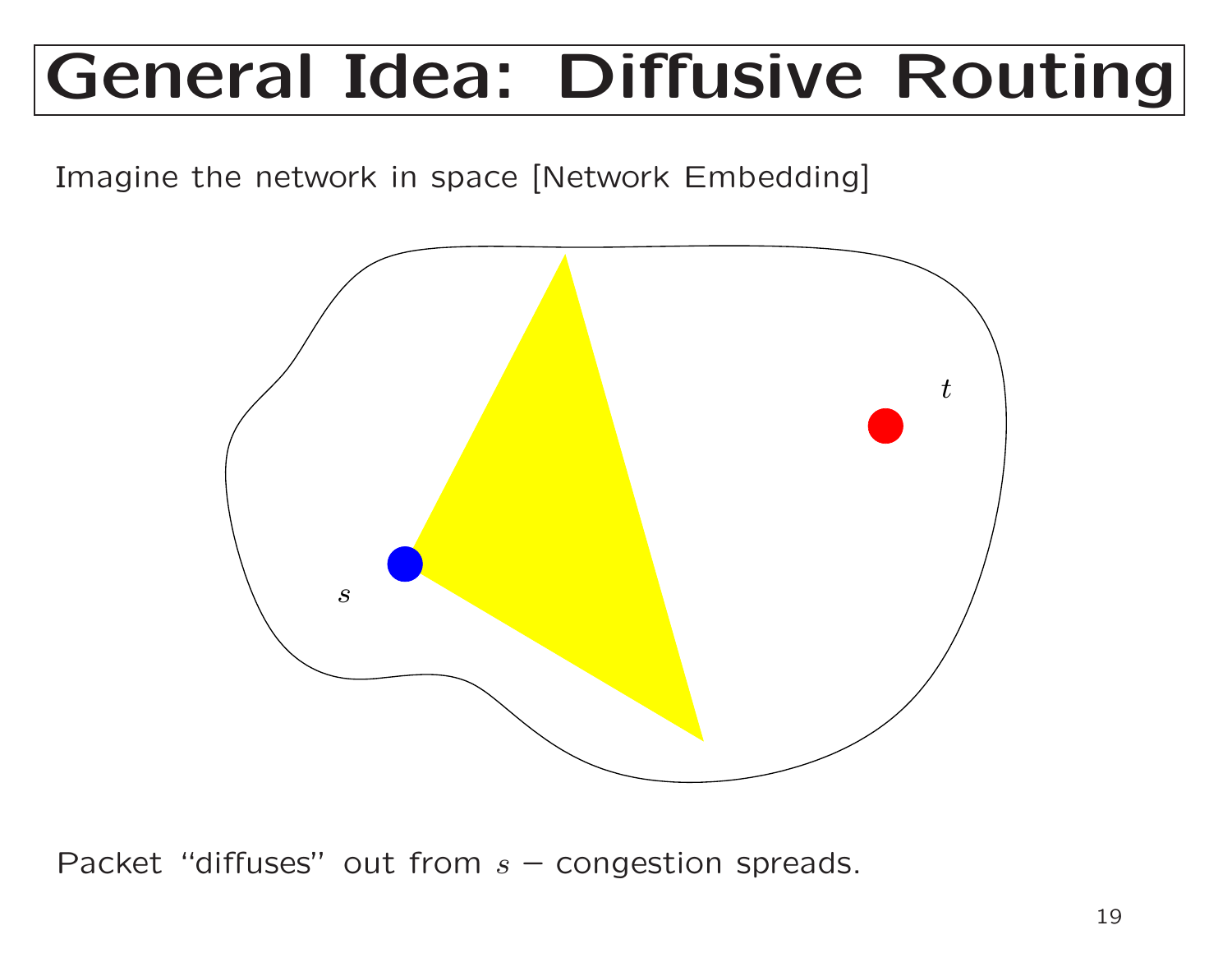Imagine the network in space [Network Embedding]



Packet "diffuses" out from  $s$  – congestion spreads.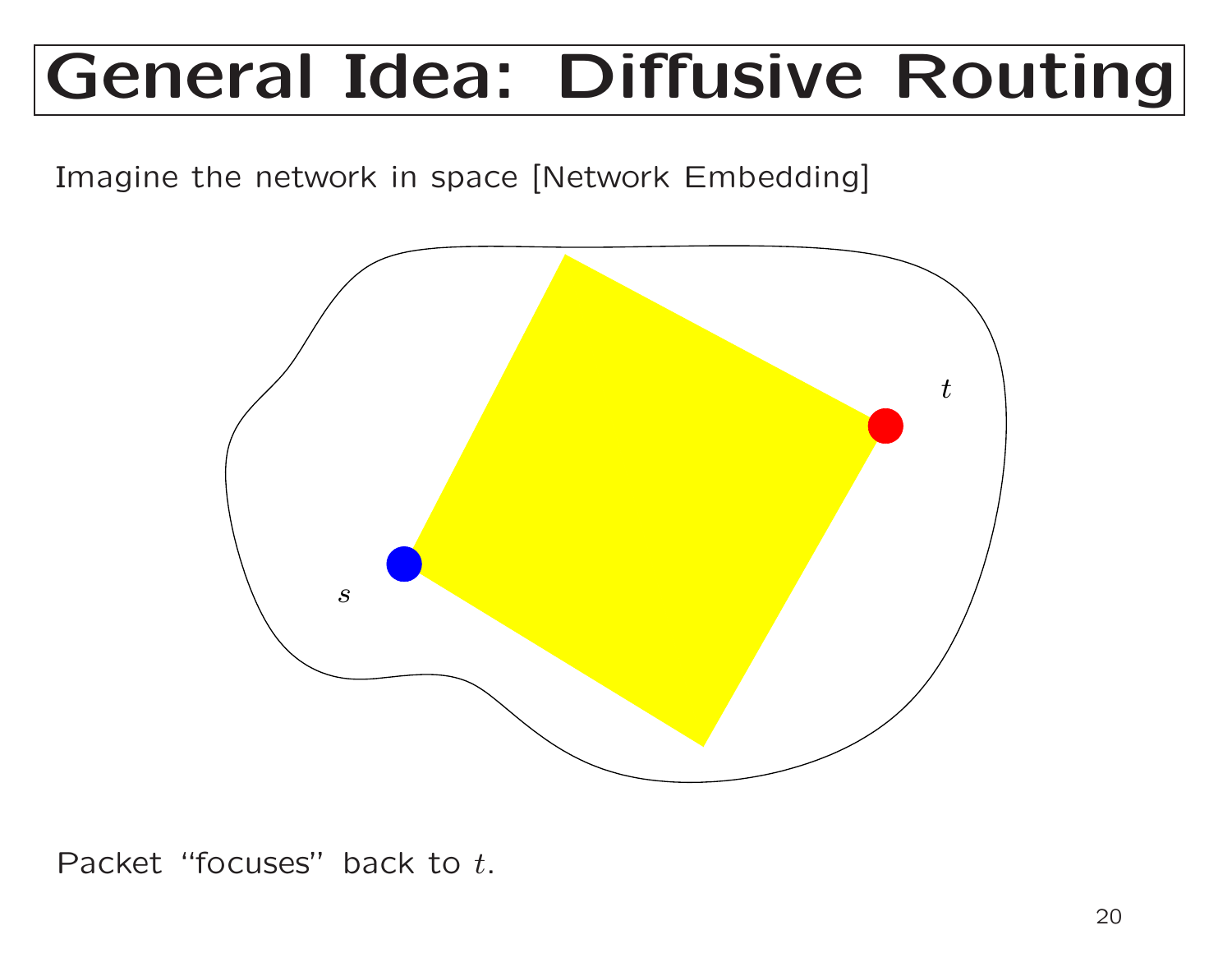Imagine the network in space [Network Embedding]



Packet "focuses" back to  $t.$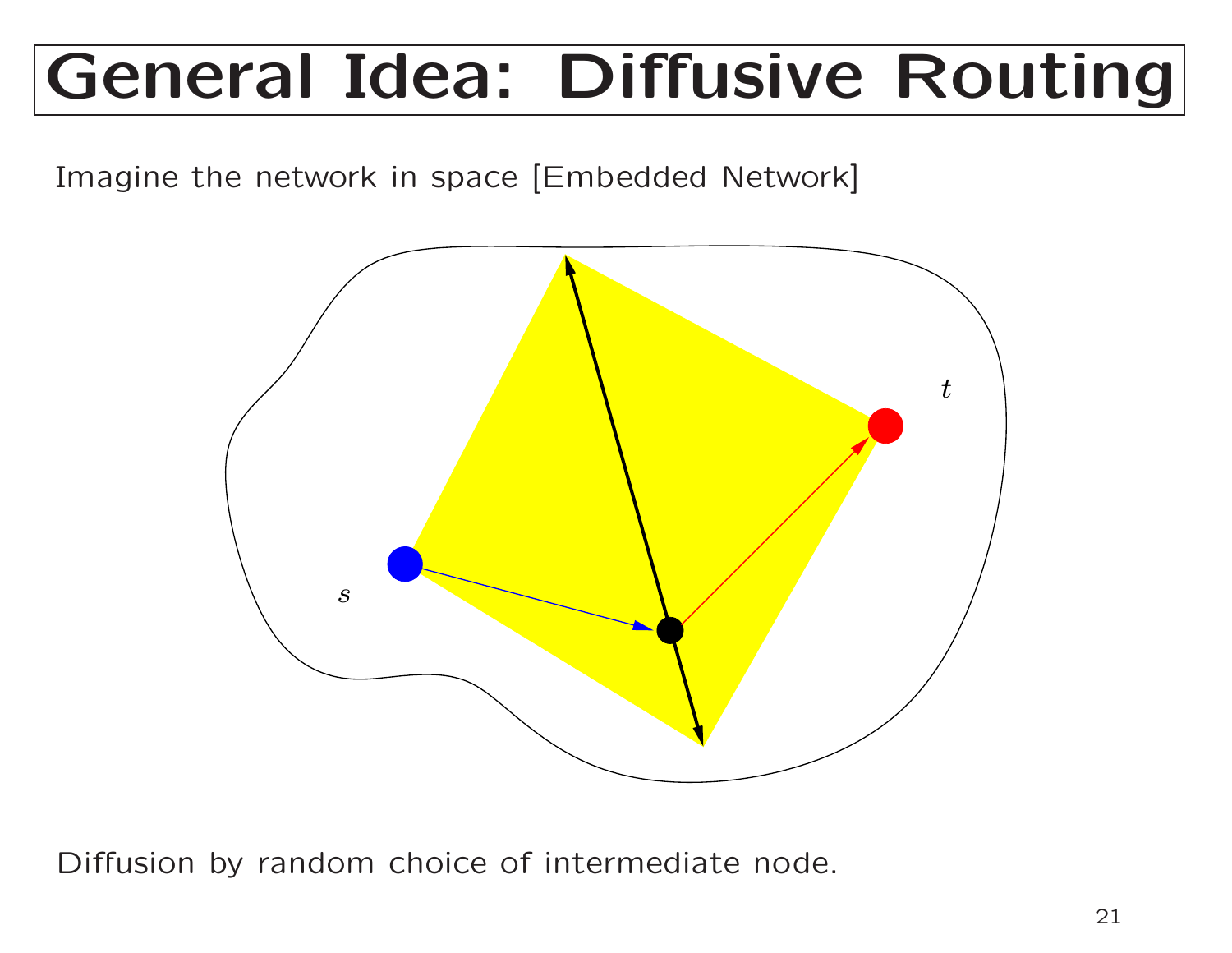Imagine the network in space [Embedded Network]



Diffusion by random choice of intermediate node.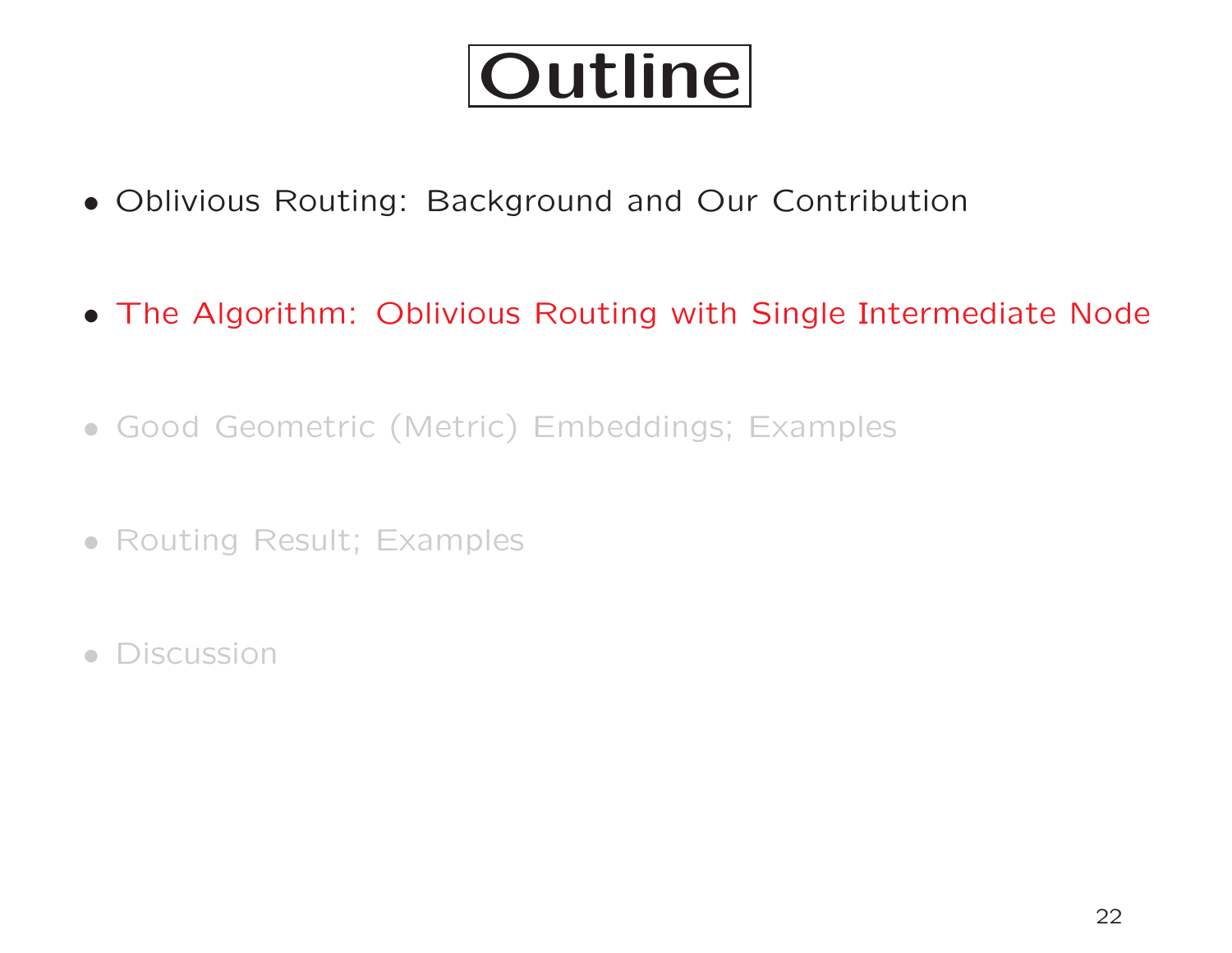## Outline

- Oblivious Routing: Background and Our Contribution
- The Algorithm: Oblivious Routing with Single Intermediate Node
- Good Geometric (Metric) Embeddings; Examples
- Routing Result; Examples
- Discussion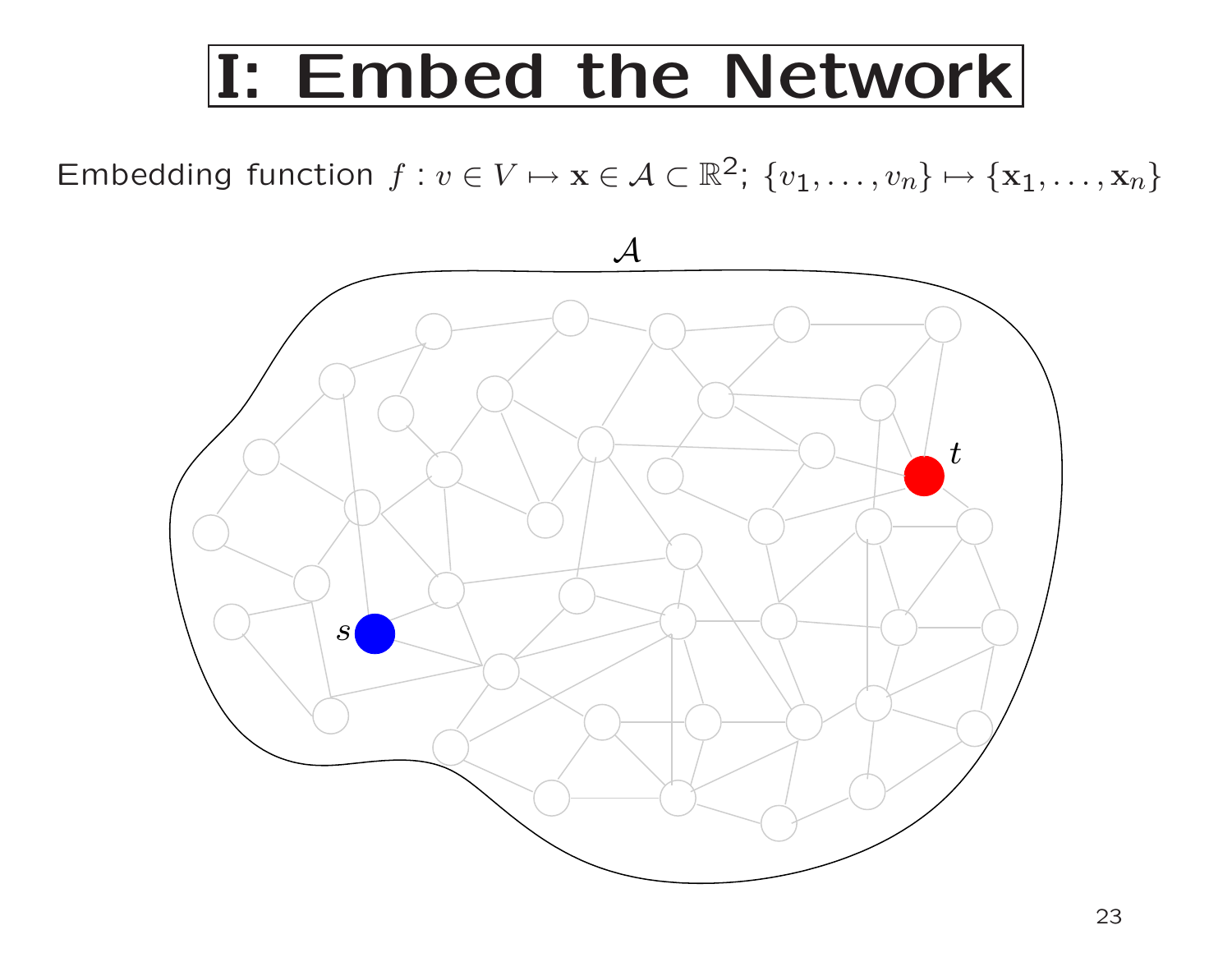#### I: Embed the Network

Embedding function  $f:v\in V \mapsto \mathbf{x}\in \mathcal{A}\subset \mathbb{R}^2;\; \{v_1,\ldots,v_n\}\mapsto \{\mathbf{x}_1,\ldots,\mathbf{x}_n\}$ 

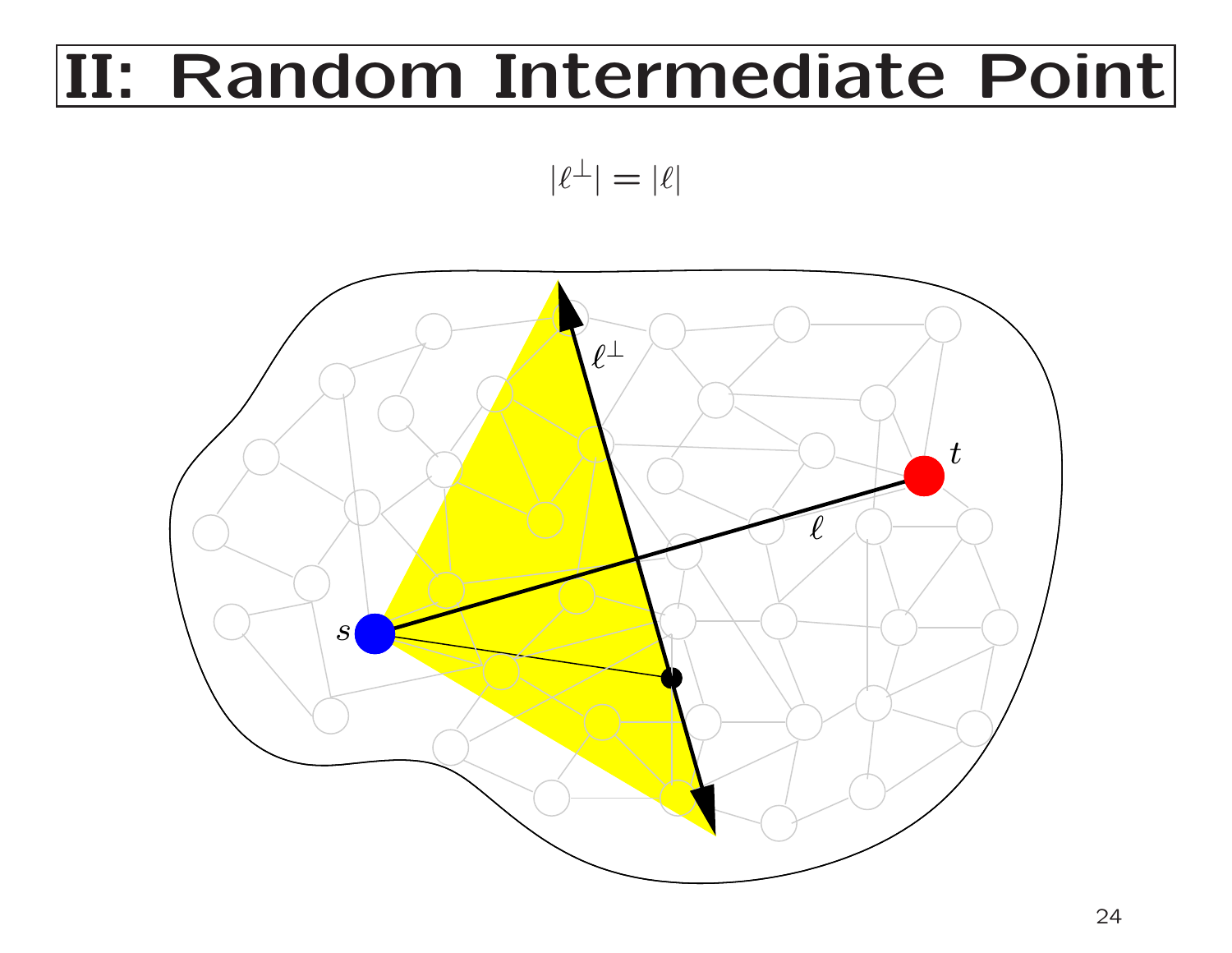#### II: Random Intermediate Point

$$
|\ell^\perp| = |\ell|
$$

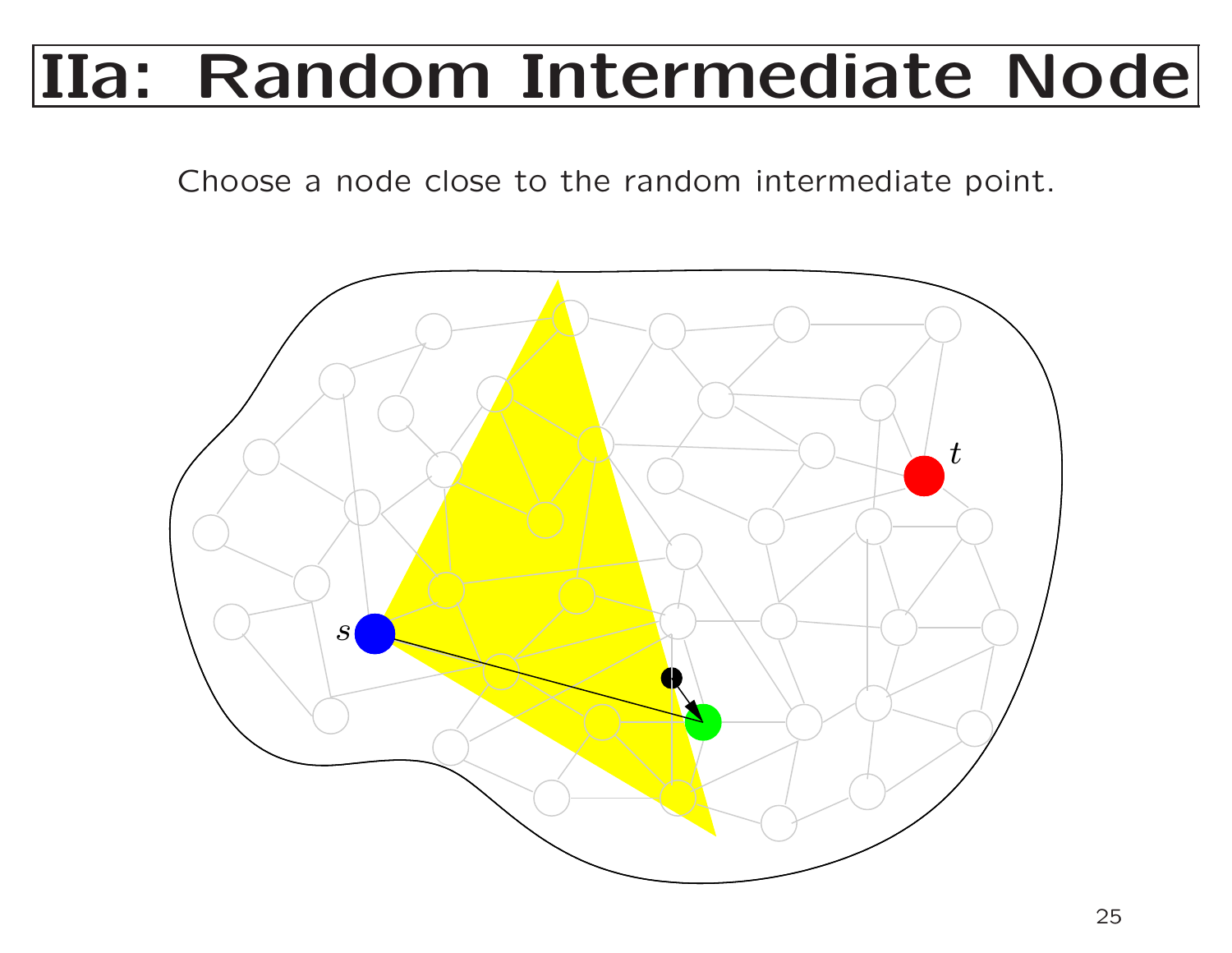#### IIa: Random Intermediate Node

Choose <sup>a</sup> node close to the random intermediate point.

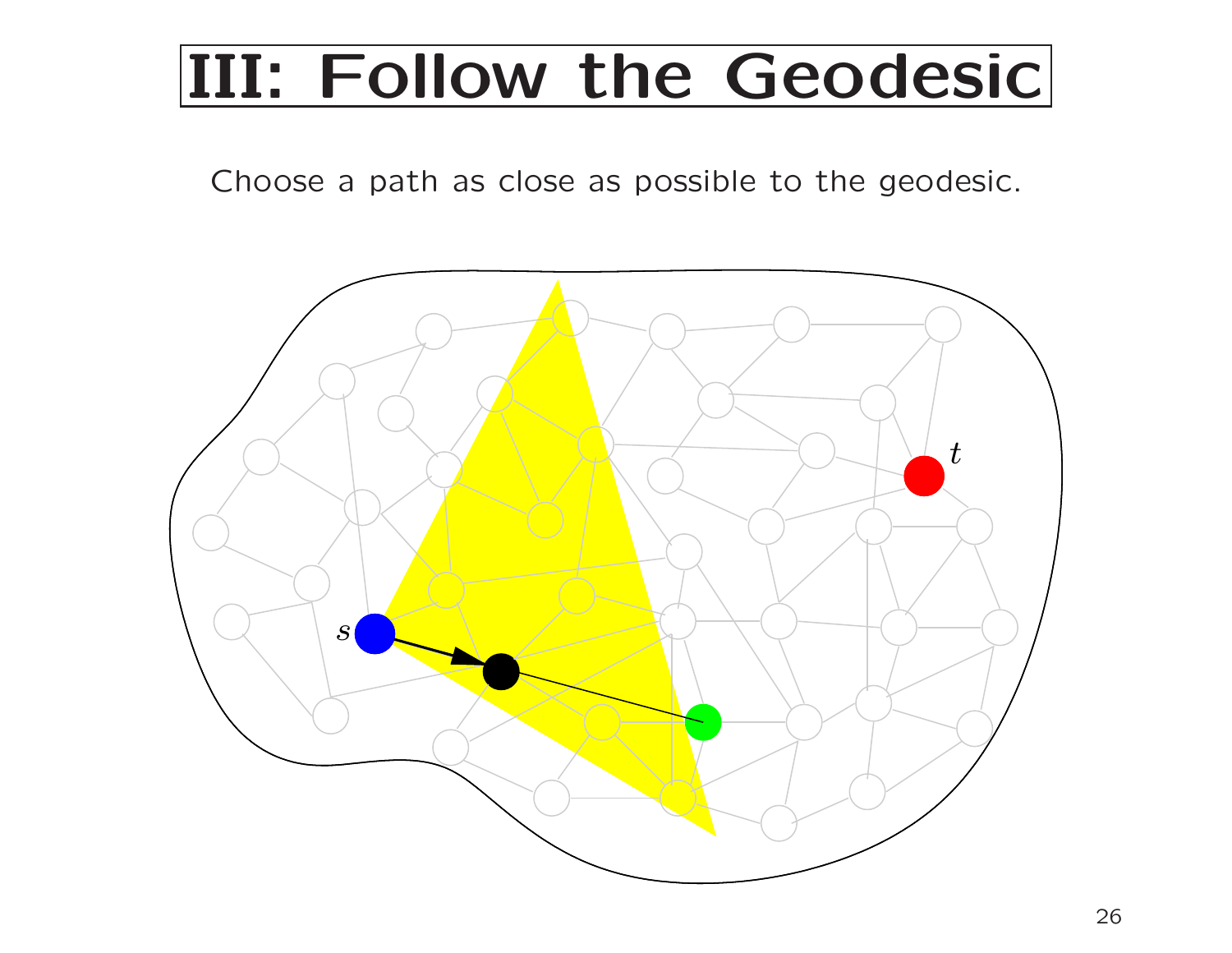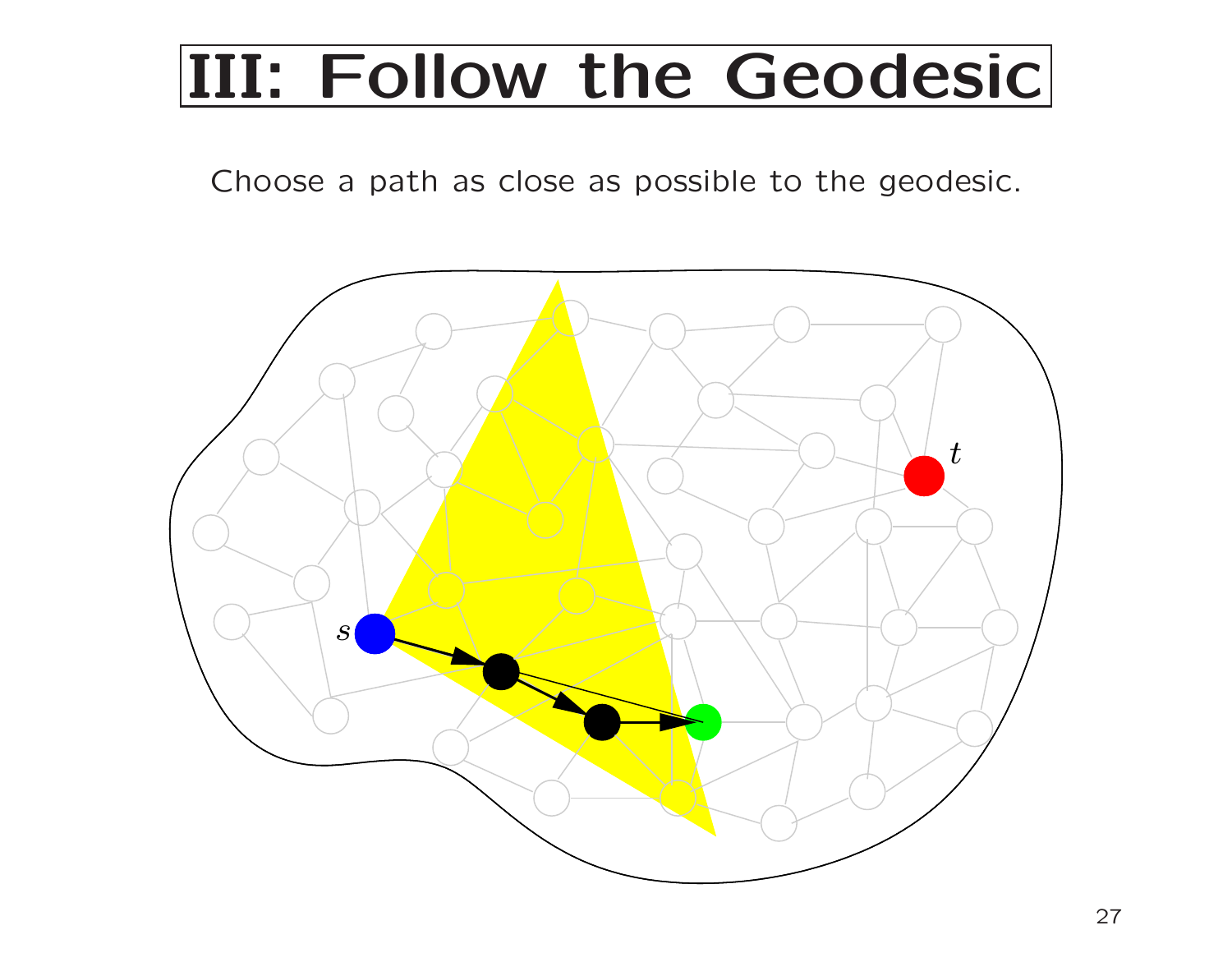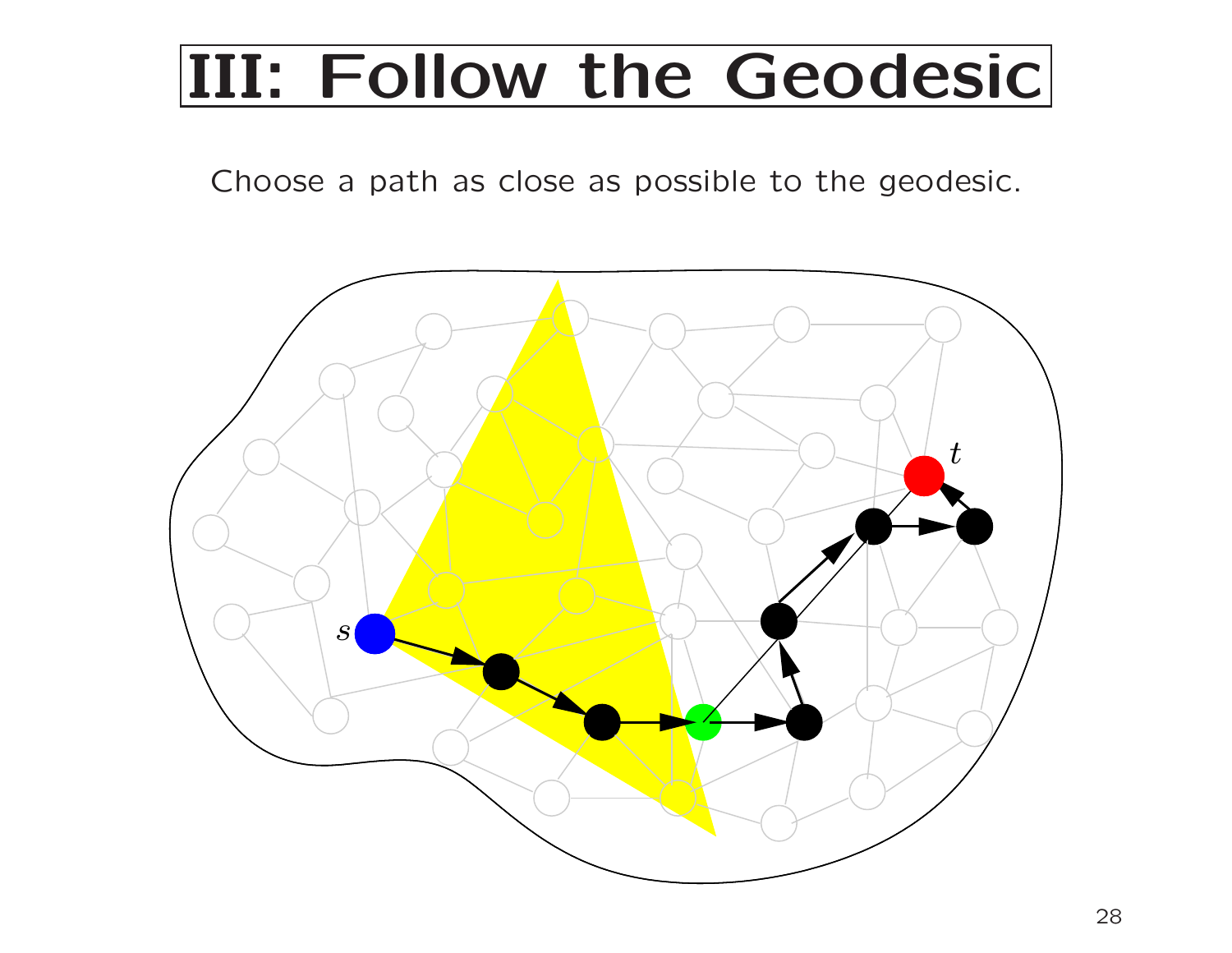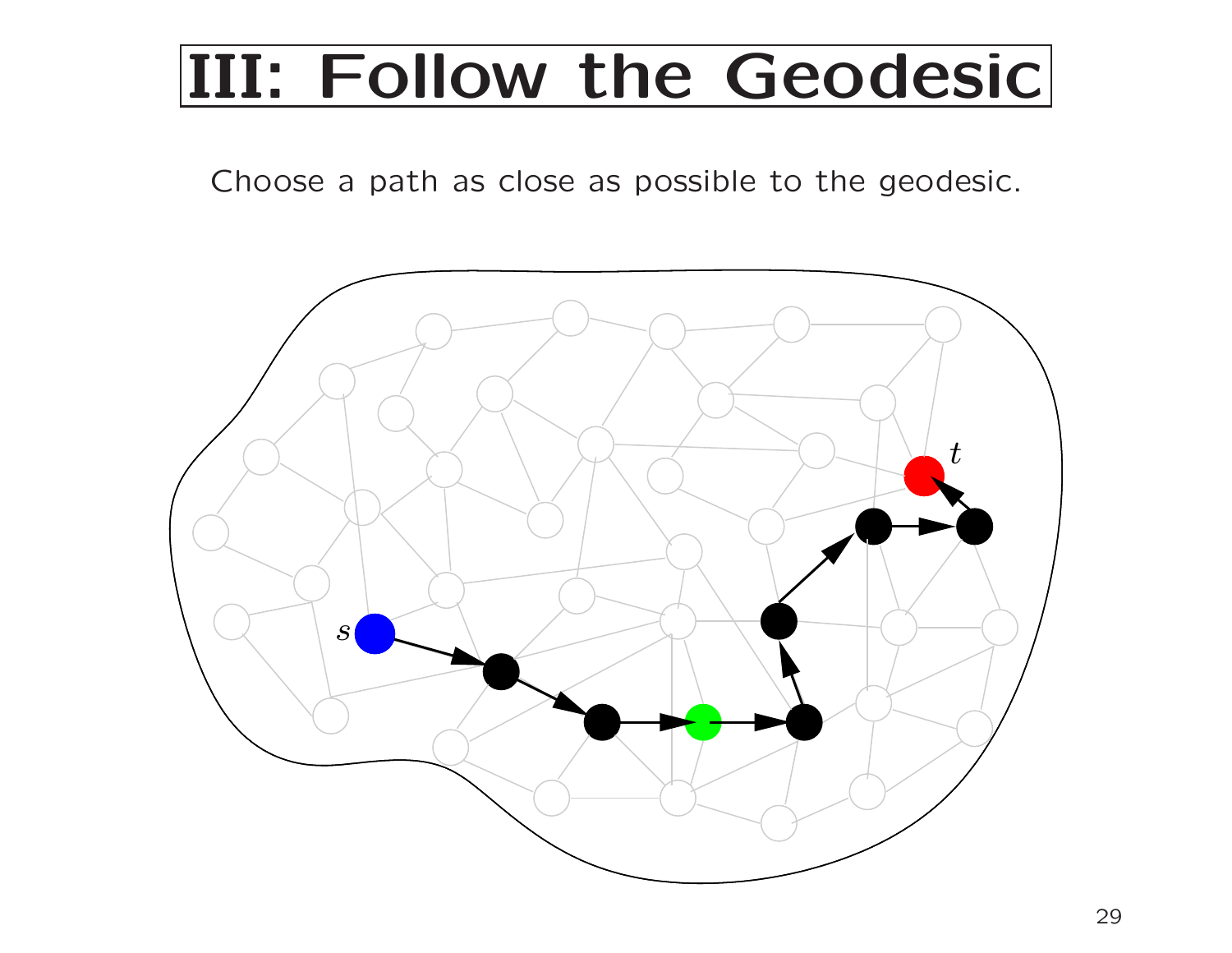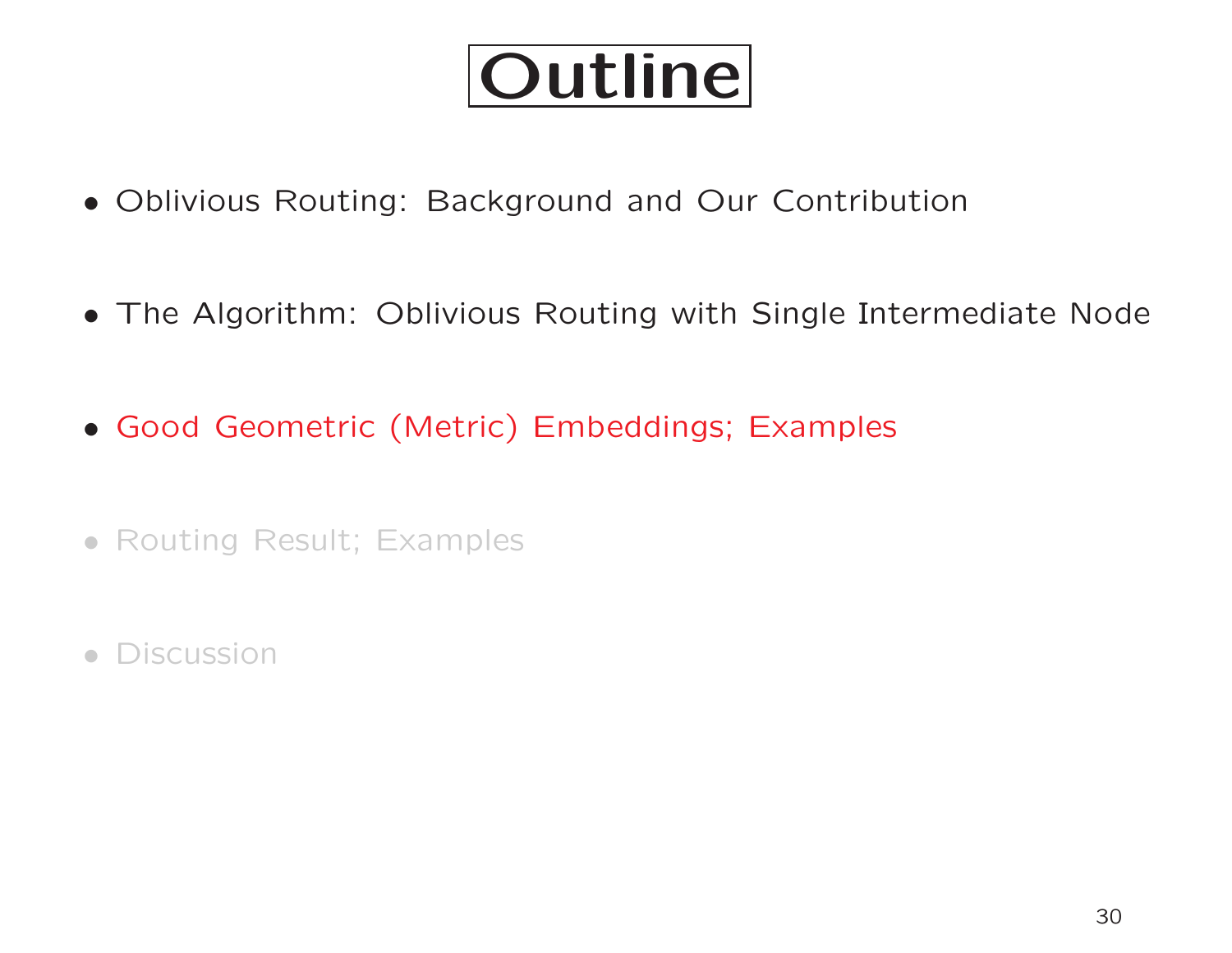## Outline

- Oblivious Routing: Background and Our Contribution
- The Algorithm: Oblivious Routing with Single Intermediate Node
- Good Geometric (Metric) Embeddings; Examples
- Routing Result; Examples
- Discussion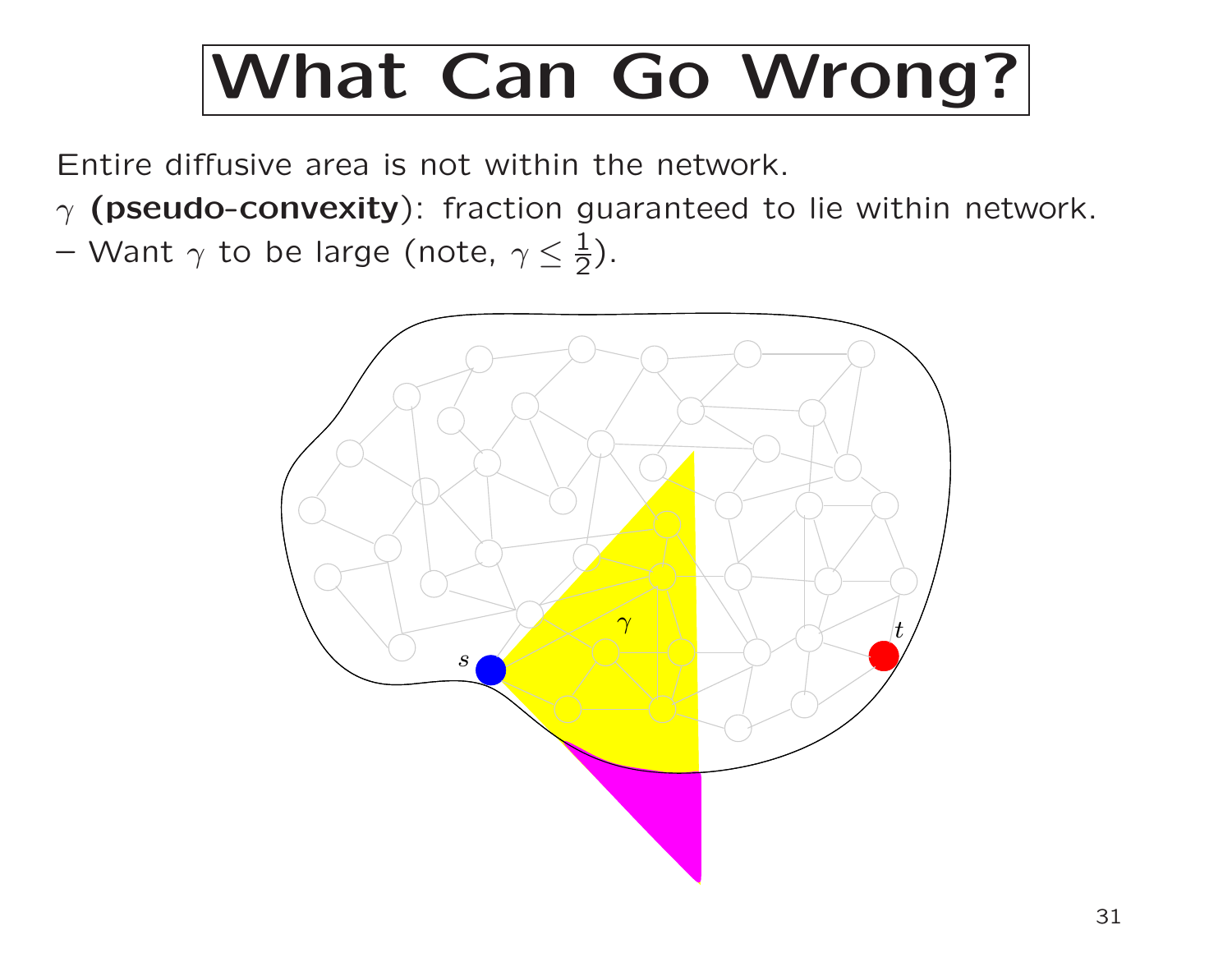Entire diffusive area is not within the network.

 $\gamma$  (pseudo-convexity): fraction guaranteed to lie within network.  $-$  Want  $\gamma$  to be large (note,  $\gamma \leq \frac{1}{2}$ ).

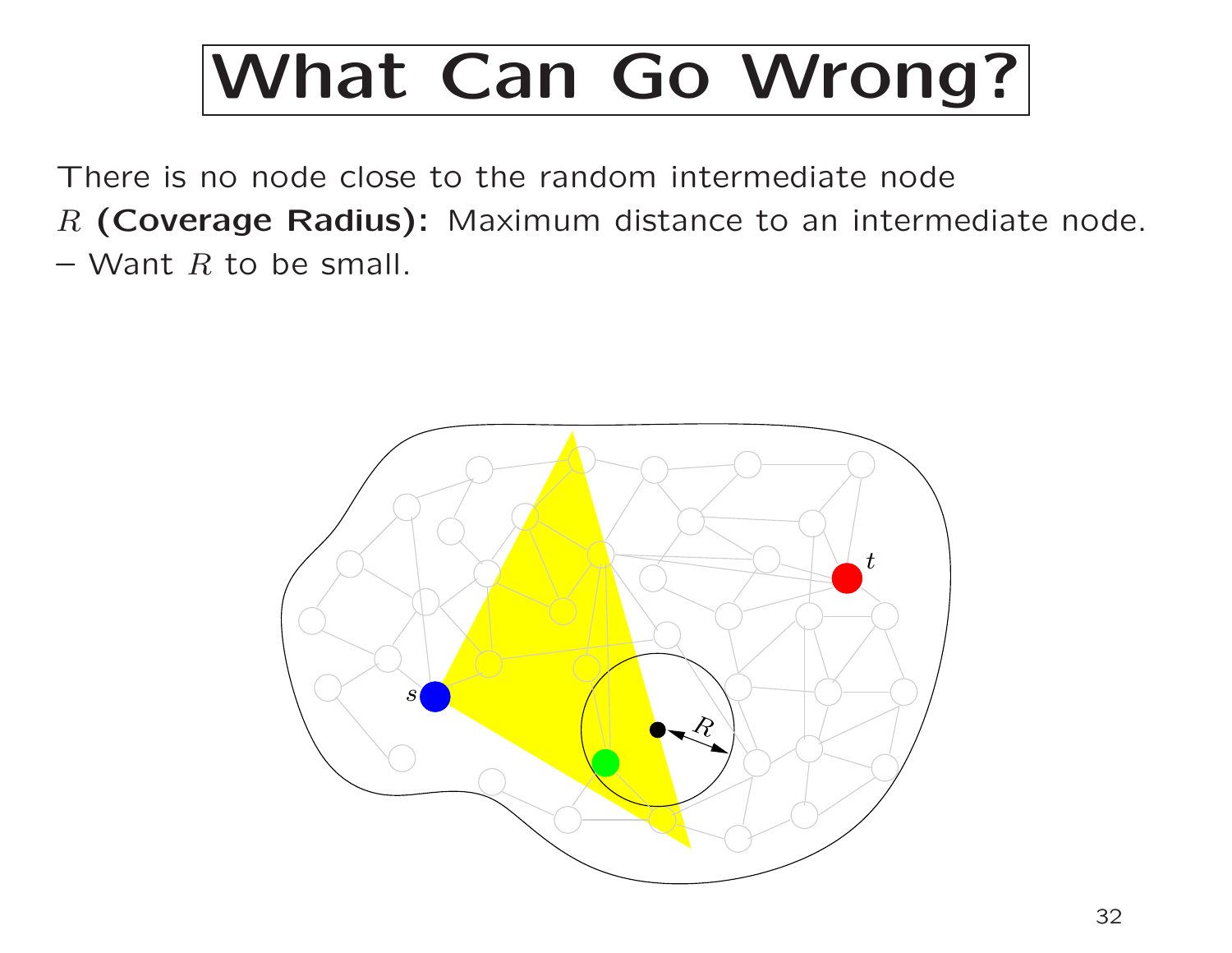There is no node close to the random intermediate node  $R$  (Coverage Radius): Maximum distance to an intermediate node.  $-$  Want R to be small.

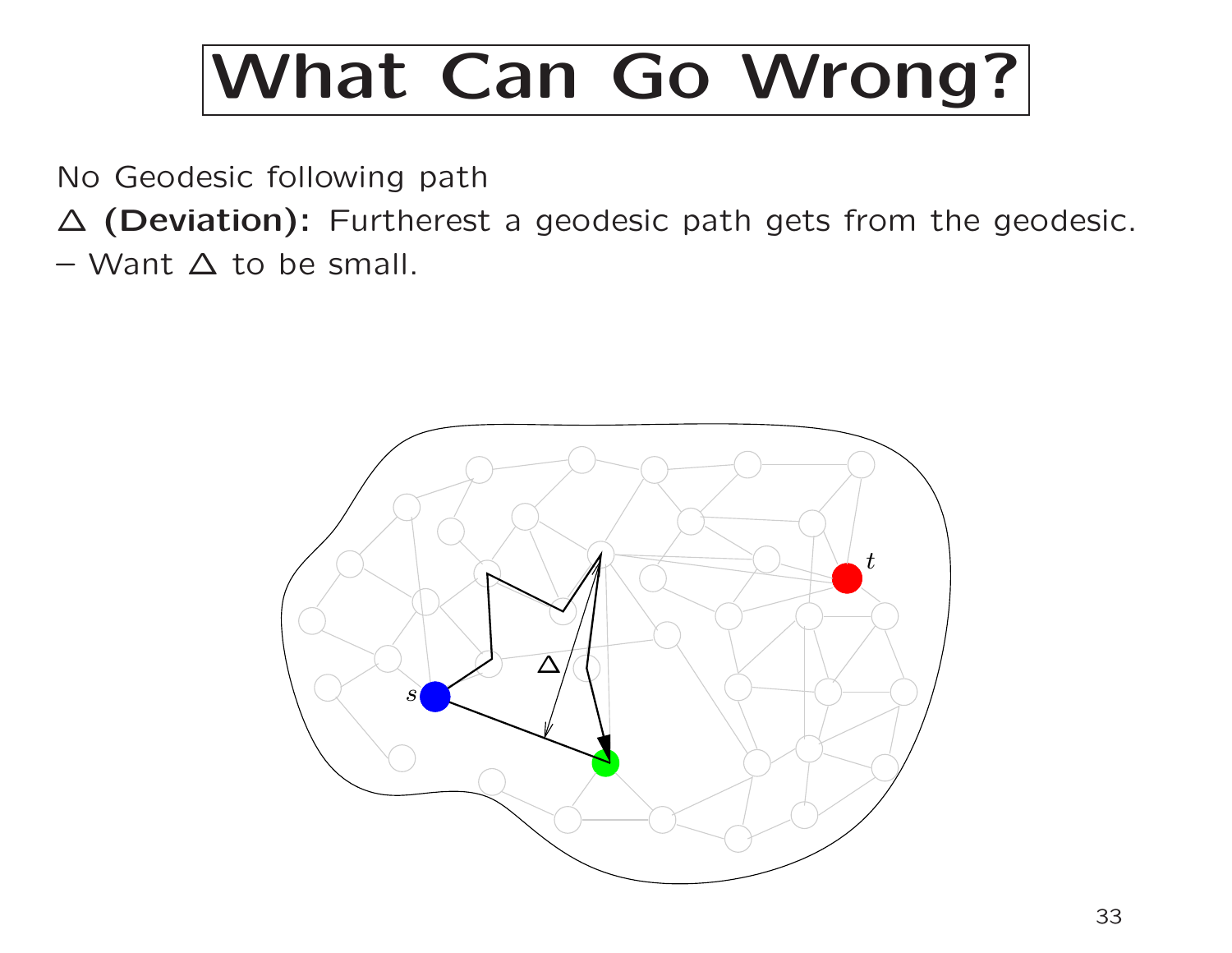No Geodesic following path

<sup>∆</sup> (Deviation): Furtherest <sup>a</sup> geodesic path gets from the geodesic. – Want ∆ to be small.

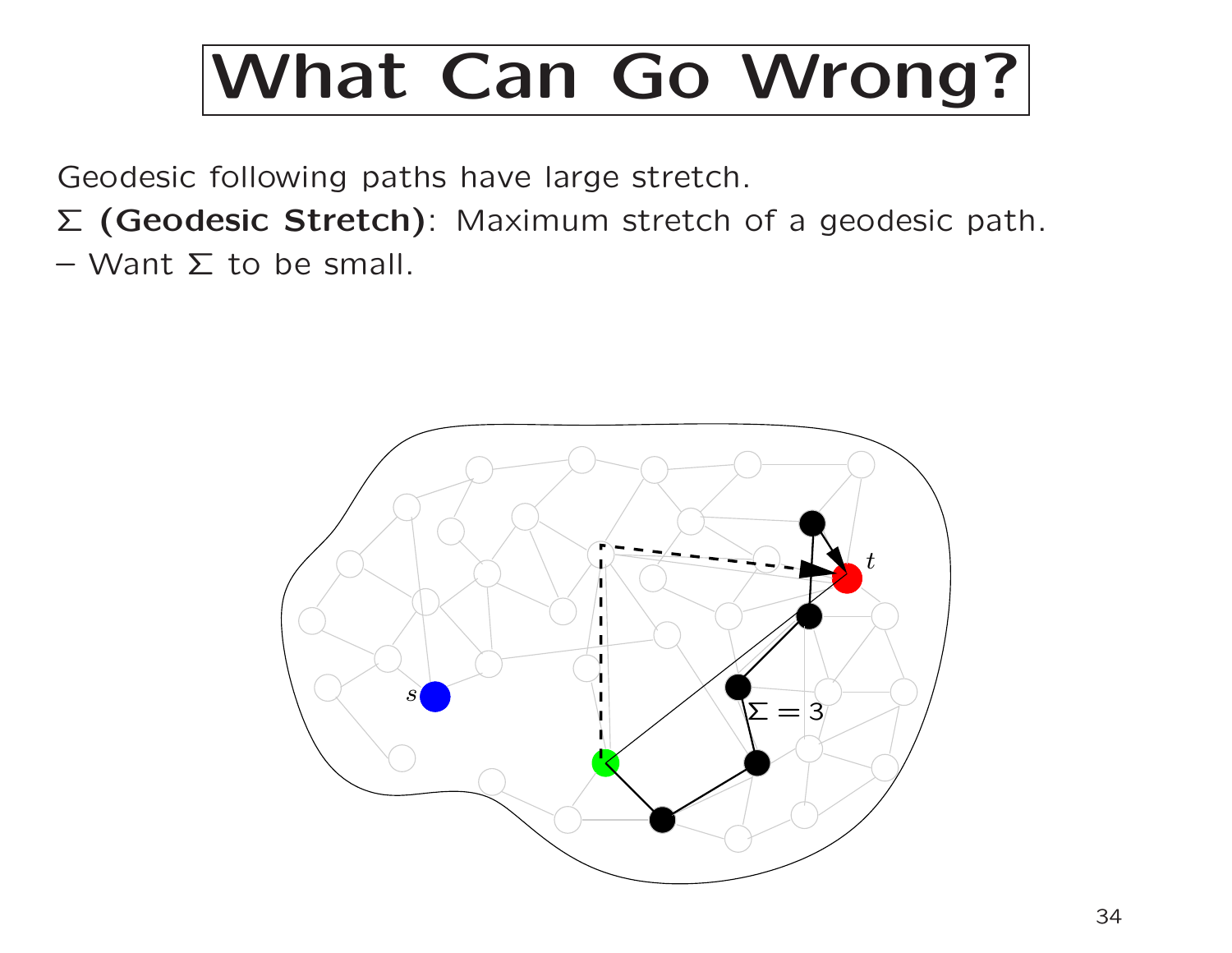Geodesic following paths have large stretch.

- <sup>Σ</sup> (Geodesic Stretch): Maximum stretch of <sup>a</sup> geodesic path.
- Want  $Σ$  to be small.

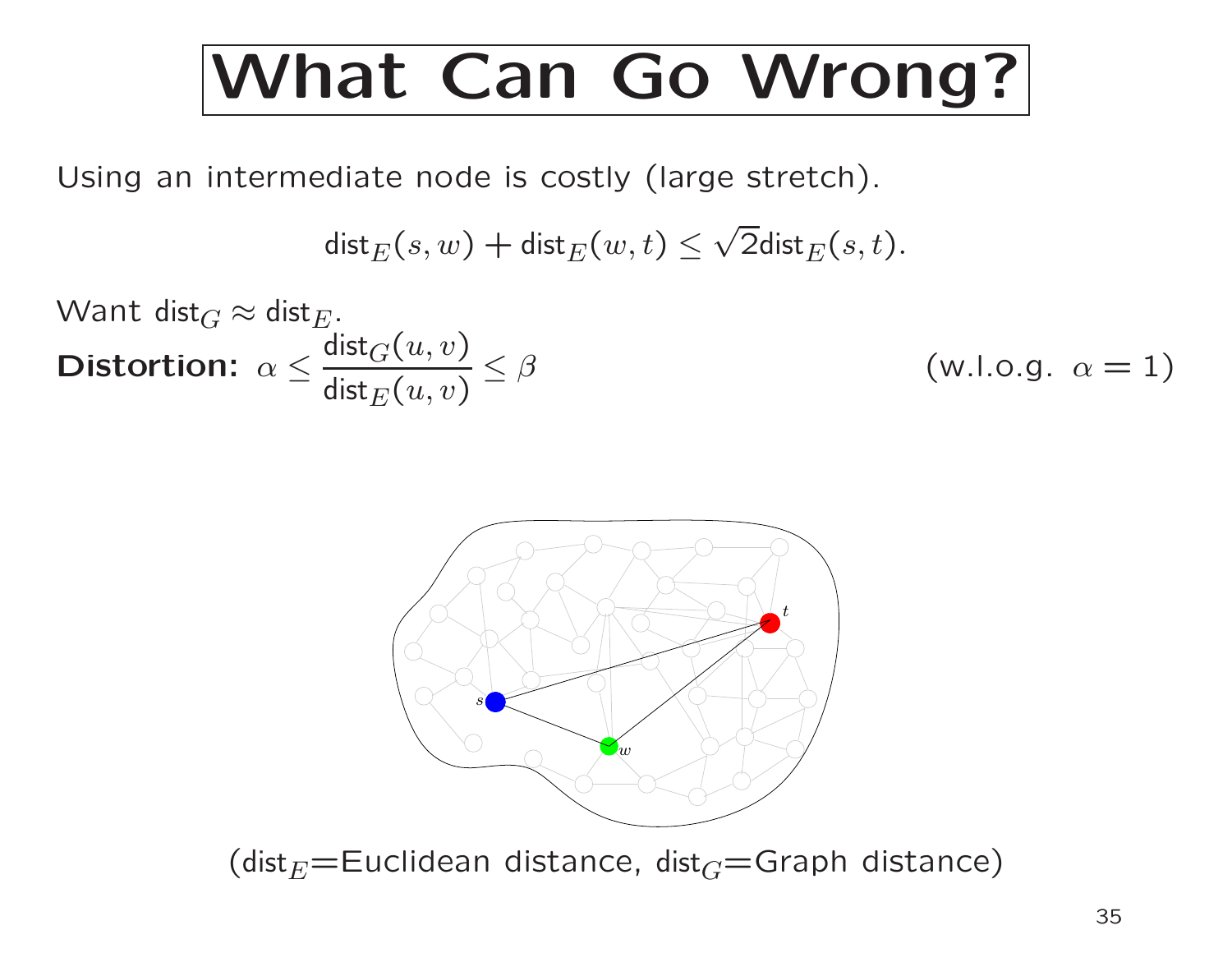Using an intermediate node is costly (large stretch).

$$
\mathsf{dist}_E(s, w) + \mathsf{dist}_E(w, t) \le \sqrt{2} \mathsf{dist}_E(s, t).
$$

What 
$$
\text{dist}_G \approx \text{dist}_E
$$
.  
\n**Distortion:**  $\alpha \leq \frac{\text{dist}_G(u, v)}{\text{dist}_E(u, v)} \leq \beta$  (w.l.o.g.  $\alpha = 1$ )



(dist $_E$ =Euclidean distance, dist $_G$ =Graph distance)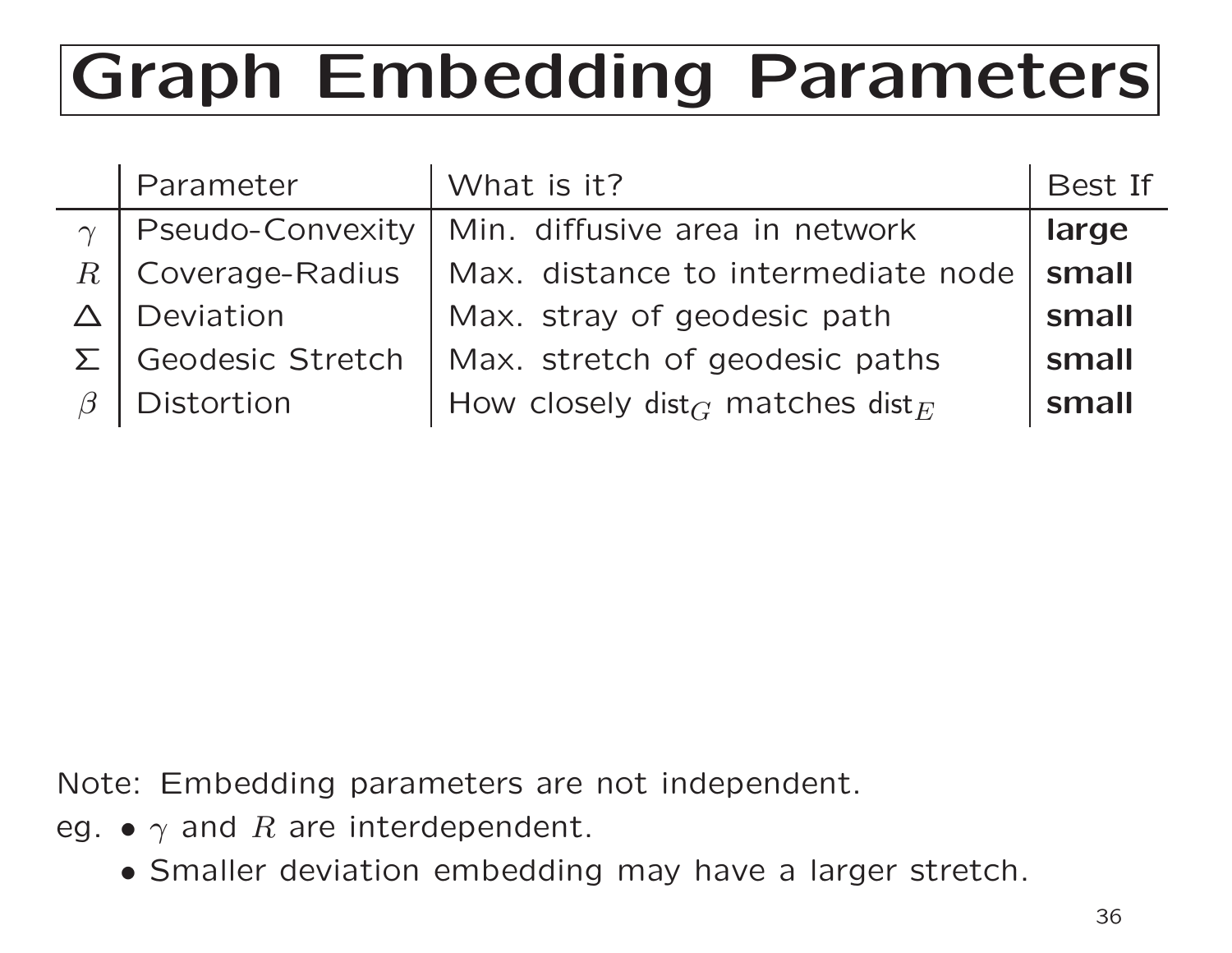# Graph Embedding Parameters

| Parameter  | What is it?                                                                             | Best If |
|------------|-----------------------------------------------------------------------------------------|---------|
|            | Min. diffusive area in network                                                          | large   |
|            | Max. distance to intermediate node                                                      | small   |
|            | Max. stray of geodesic path                                                             | small   |
|            | Max. stretch of geodesic paths                                                          | small   |
| Distortion | How closely dist <sub><math>G</math></sub> matches dist <sub><math>E</math></sub>       | small   |
|            | <b>Pseudo-Convexity</b><br>$\gamma$<br>Coverage-Radius<br>Deviation<br>Geodesic Stretch |         |

Note: Embedding parameters are not independent.

- eg.  $\bullet$   $\gamma$  and  $R$  are interdependent.
	- Smaller deviation embedding may have <sup>a</sup> larger stretch.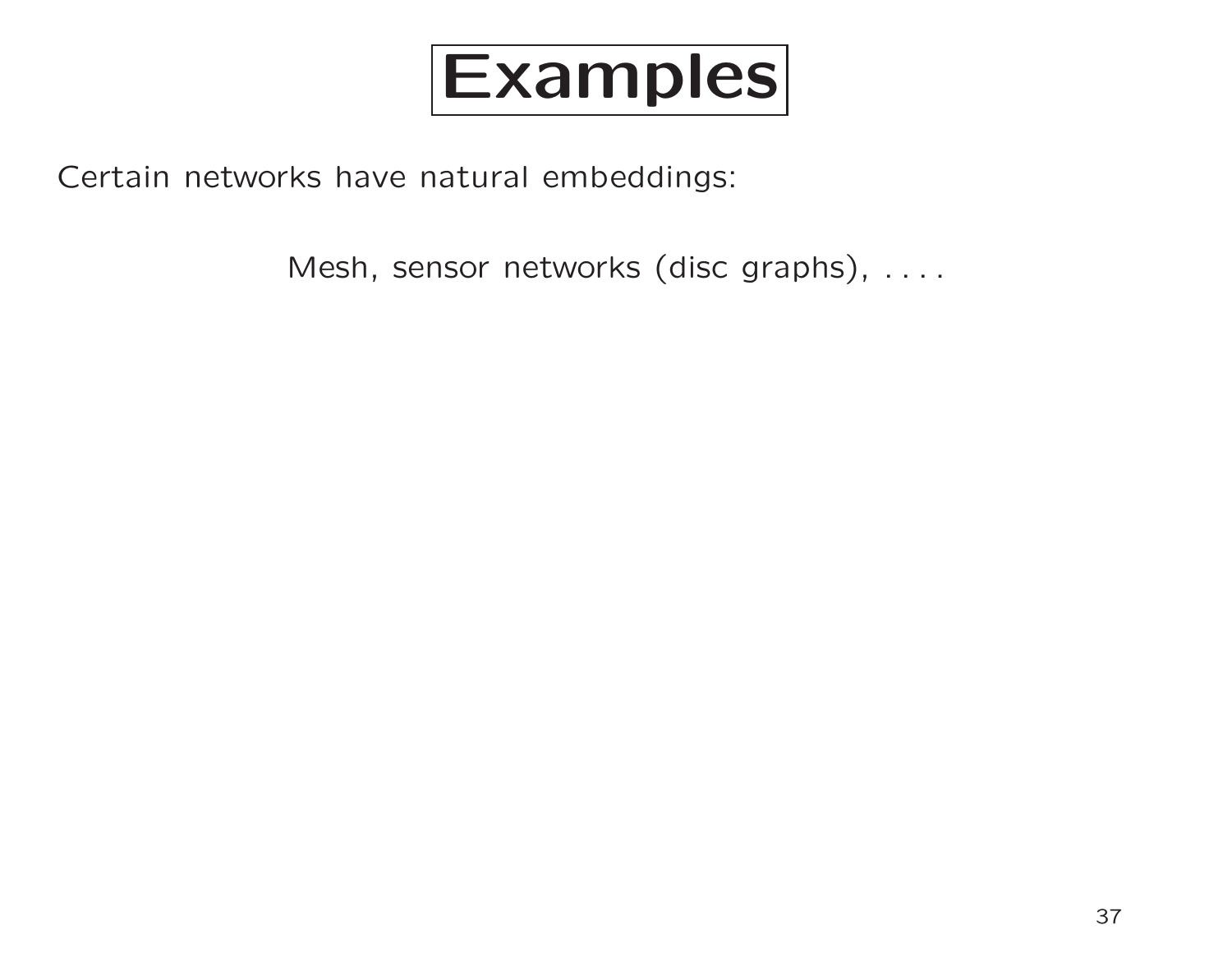

Certain networks have natural embeddings:

Mesh, sensor networks (disc graphs), ....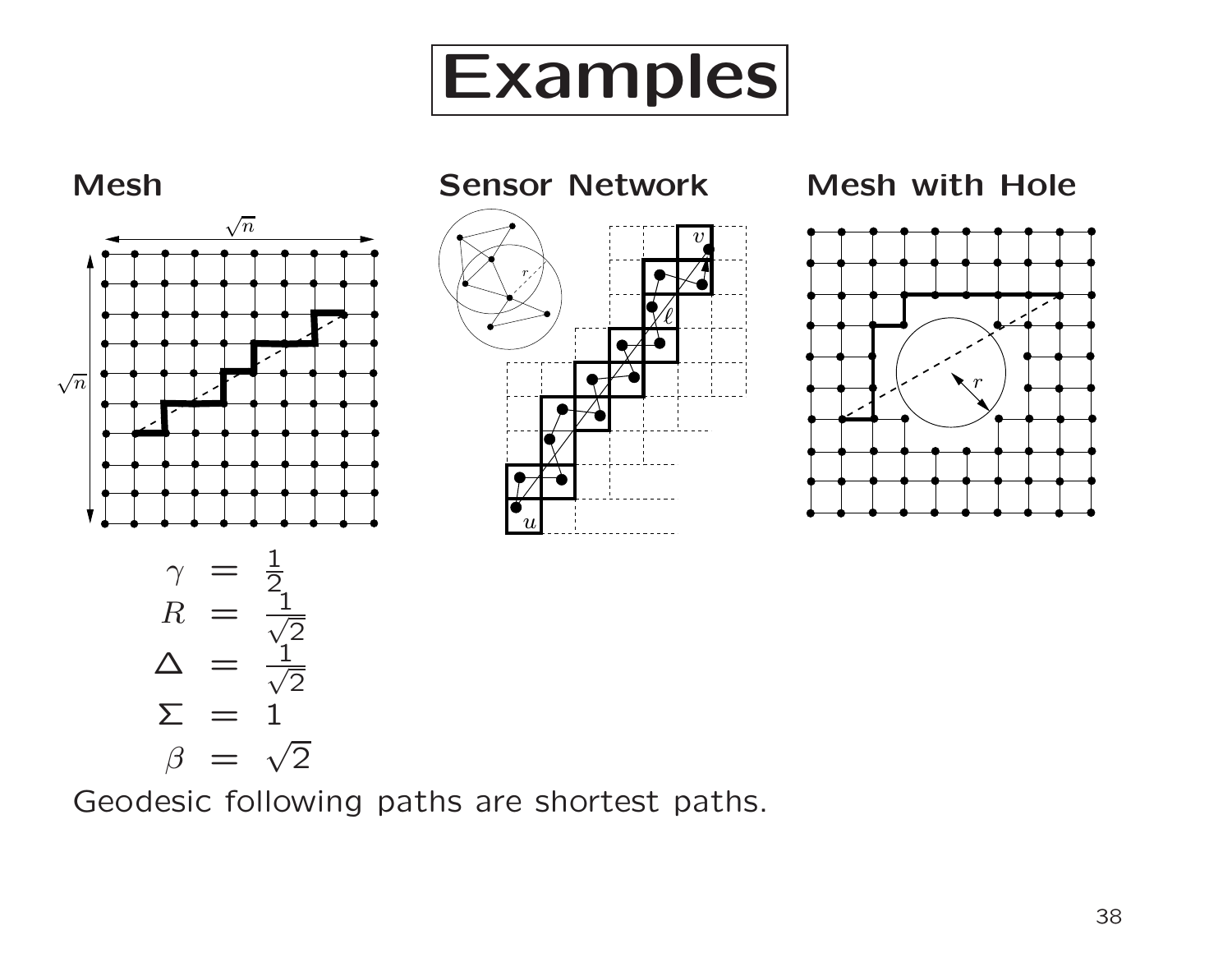



Geodesic following paths are shortest paths.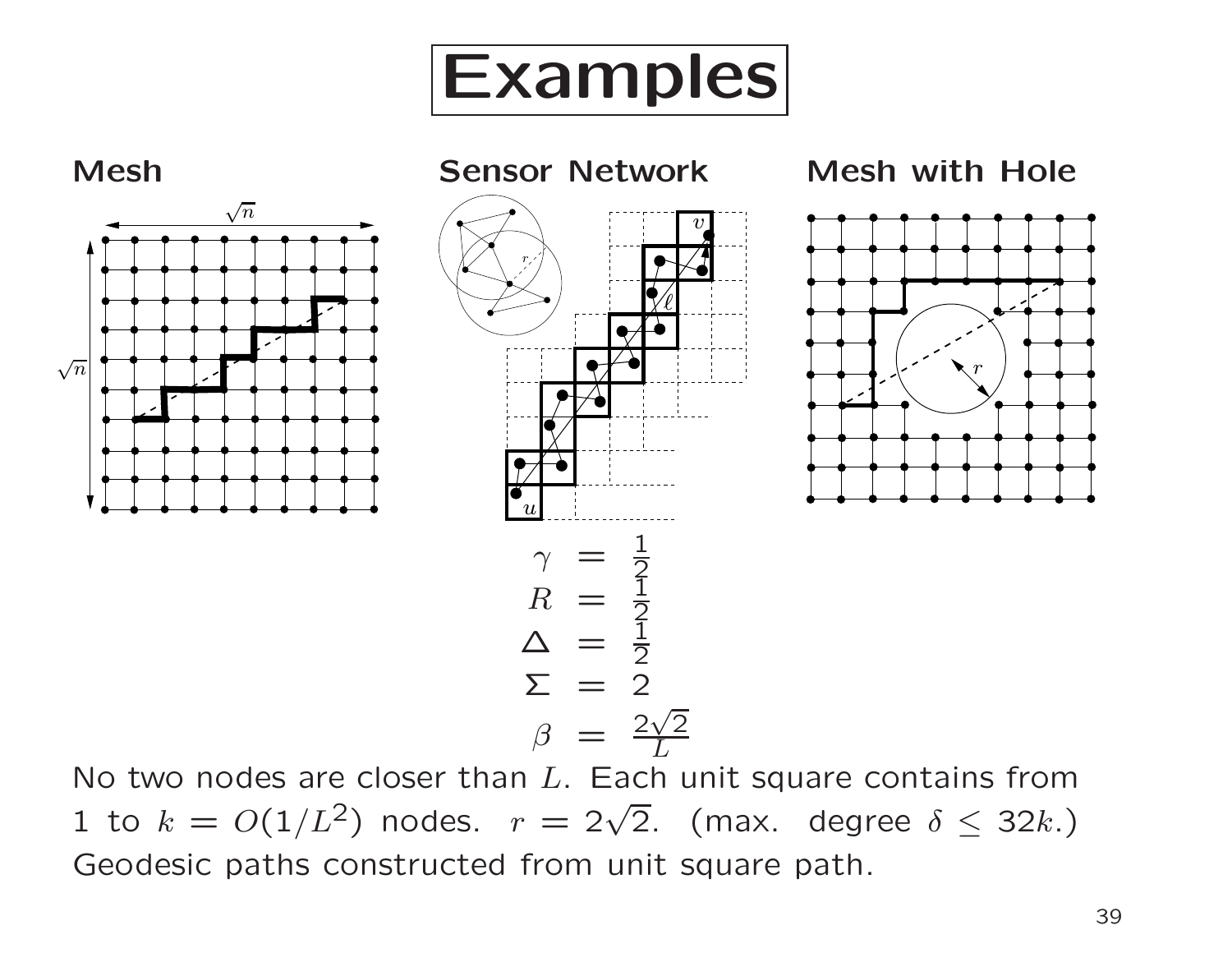



No two nodes are closer than  $L$ . Each unit square contains from 1 to  $k = O(1/L^2)$  nodes.  $r = 2\sqrt{2}$ . (max. degree  $\delta \leq 32k$ .) Geodesic paths constructed from unit square path.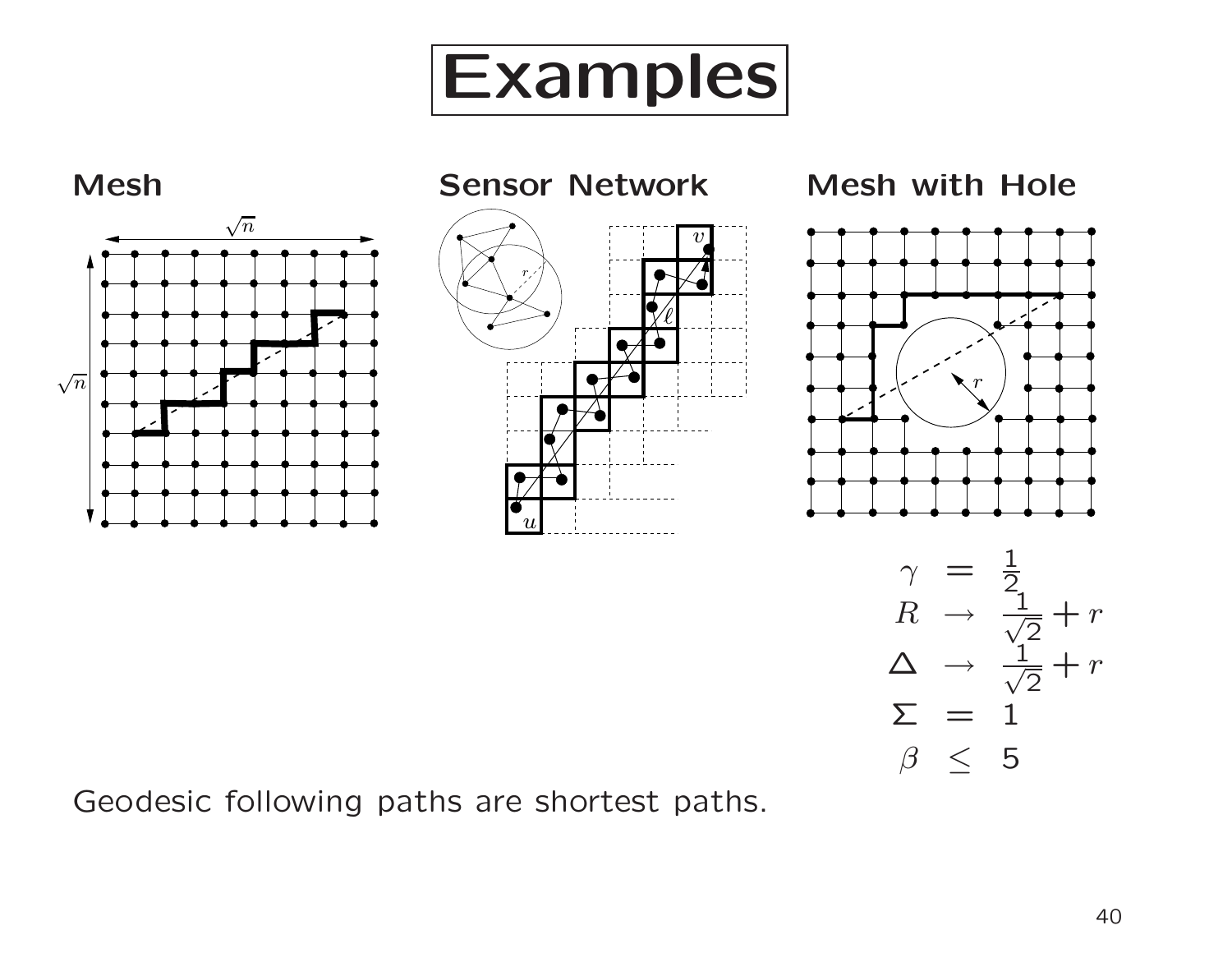



Geodesic following paths are shortest paths.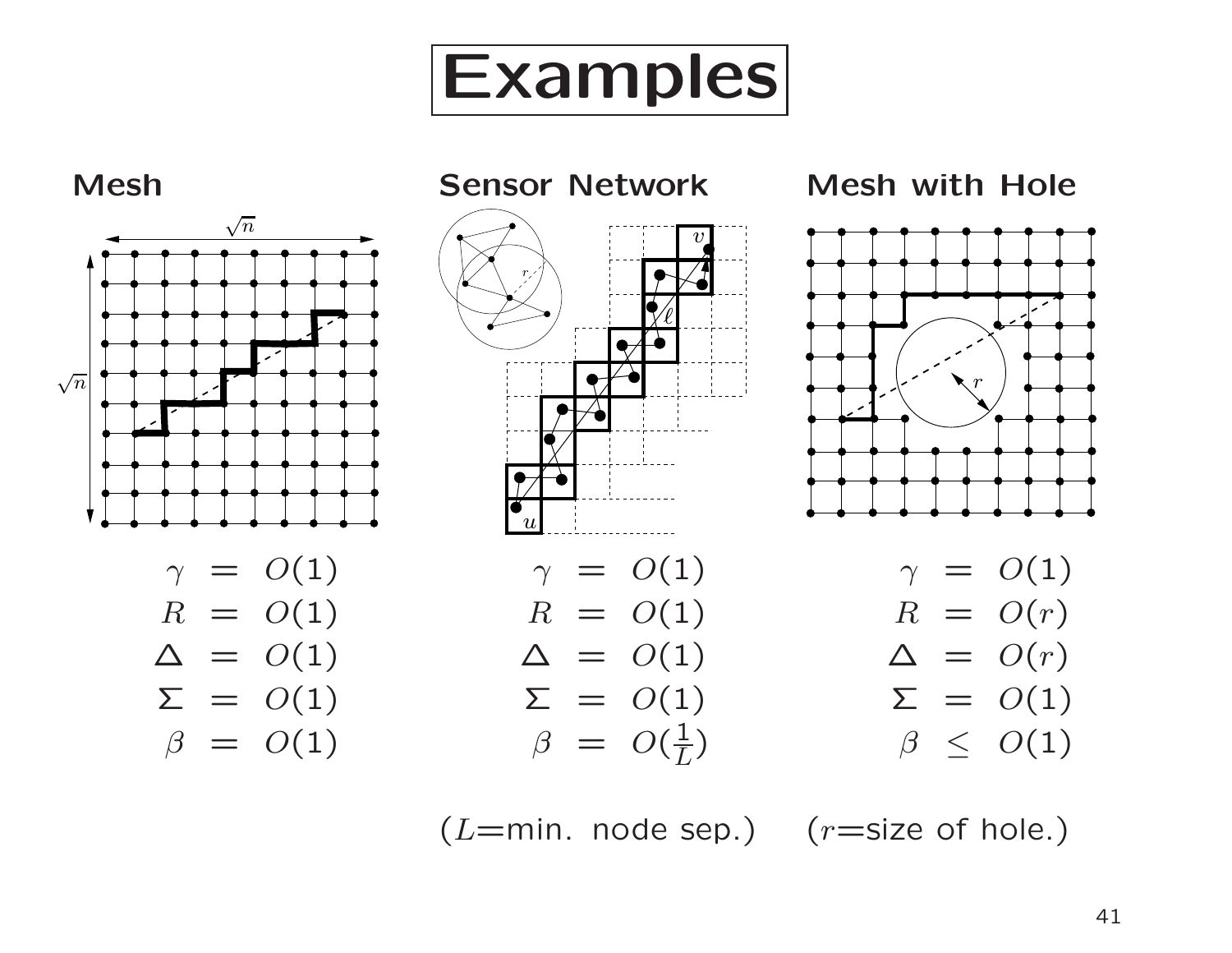



 $(L=min.$  node sep.)  $(r=size of hole.)$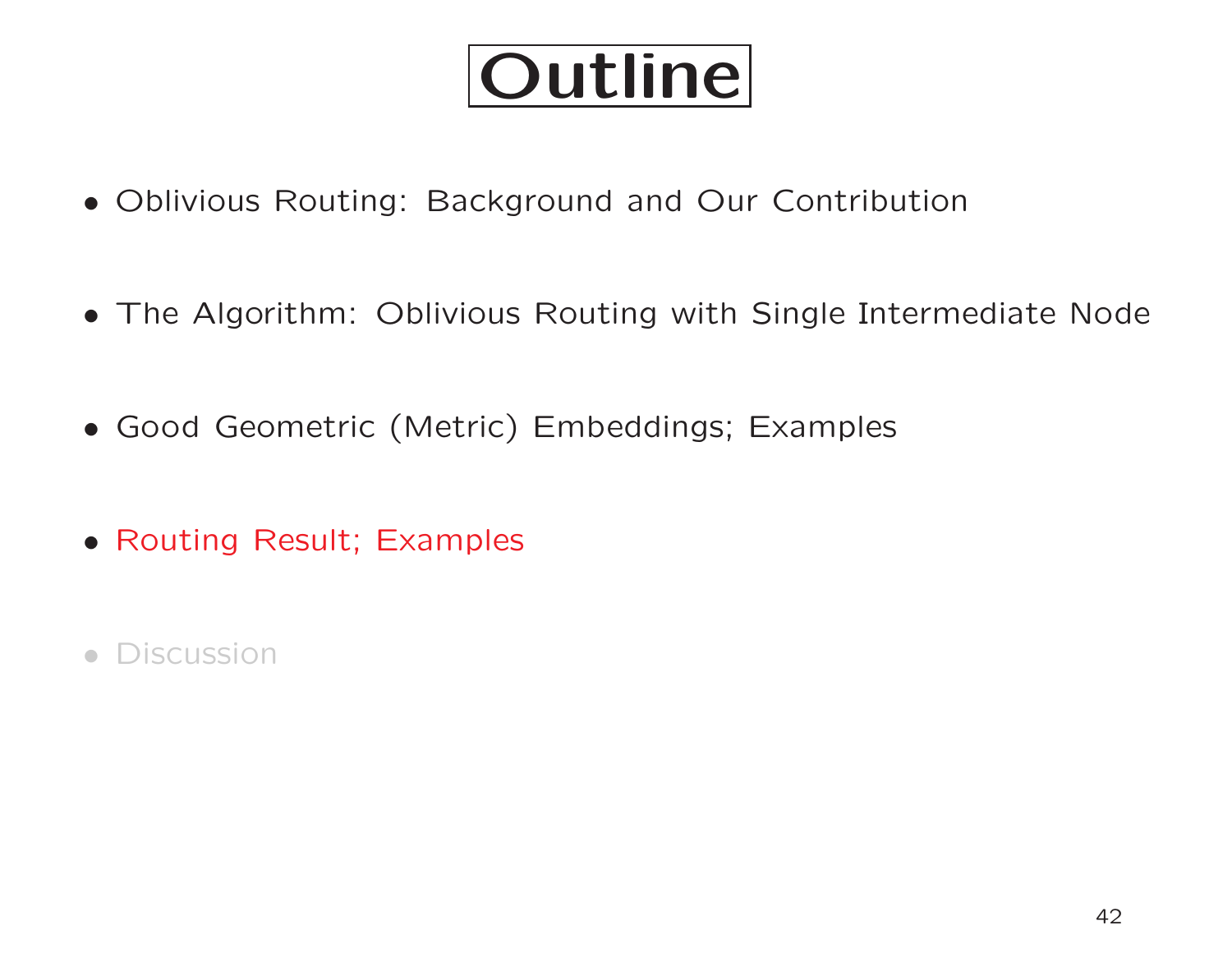## Outline

- Oblivious Routing: Background and Our Contribution
- The Algorithm: Oblivious Routing with Single Intermediate Node
- Good Geometric (Metric) Embeddings; Examples
- Routing Result; Examples
- Discussion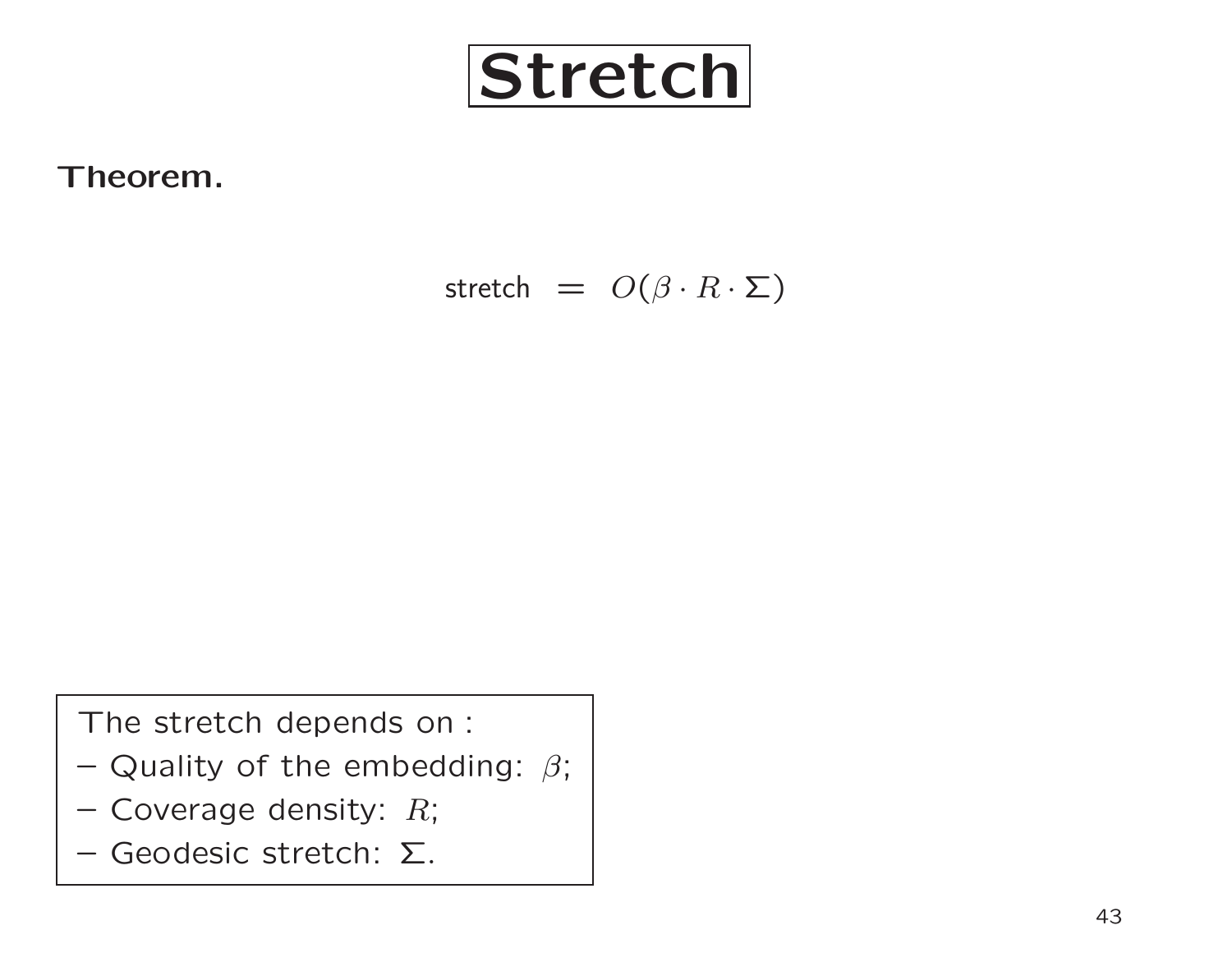

Theorem.

stretch =  $O(\beta \cdot R \cdot \Sigma)$ 

The stretch depends on :

- Quality of the embedding:  $\beta;$
- $-$  Coverage density:  $R;$
- Geodesic stretch: Σ.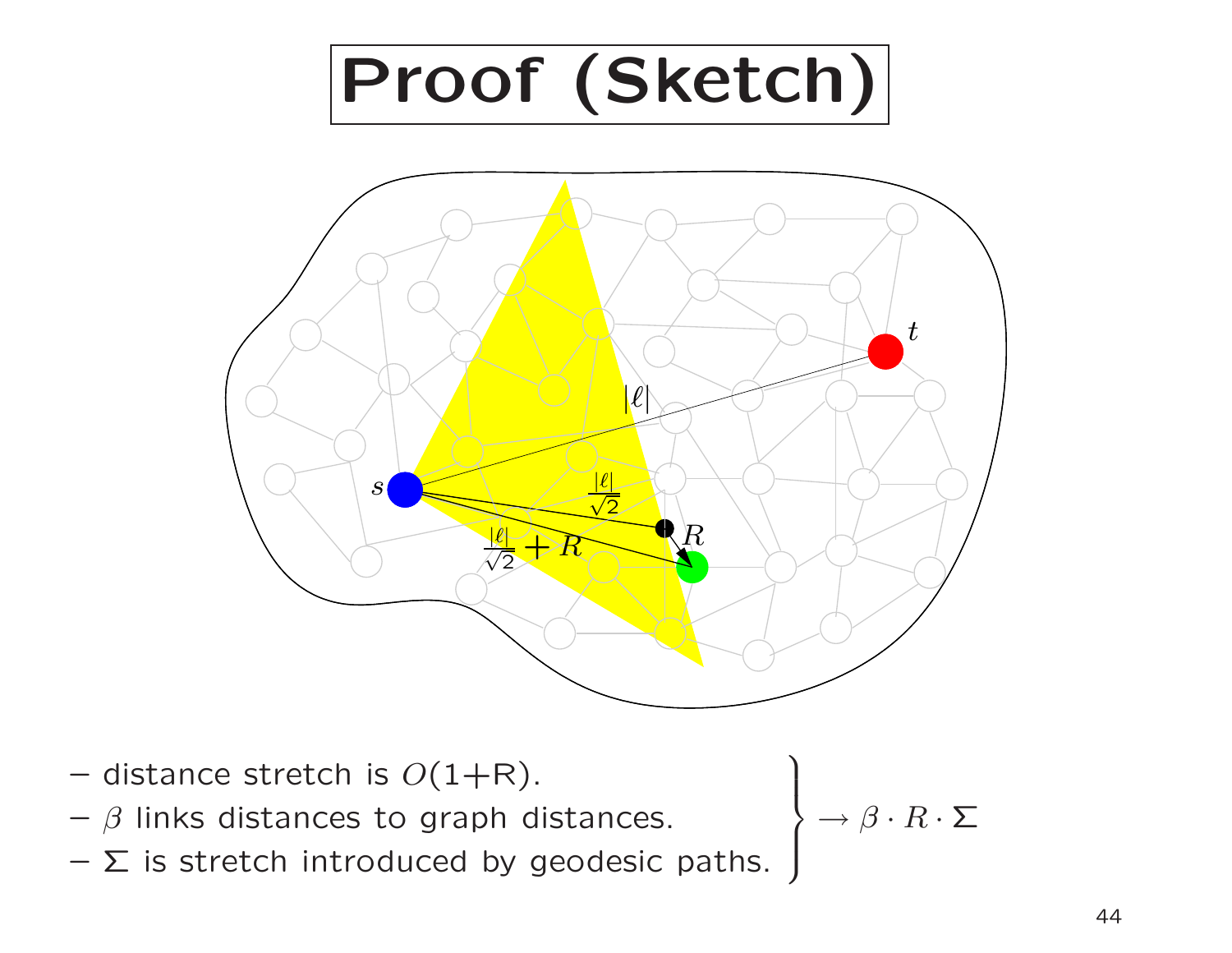

- $-$  distance stretch is  $O(1{+}R).$
- $\beta$  links distances to graph distances.
- $\Sigma$  is stretch introduced by geodesic paths.

 $\rightarrow \beta \cdot R \cdot \Sigma$ 

 $\Bigg\}$ 

 $\int$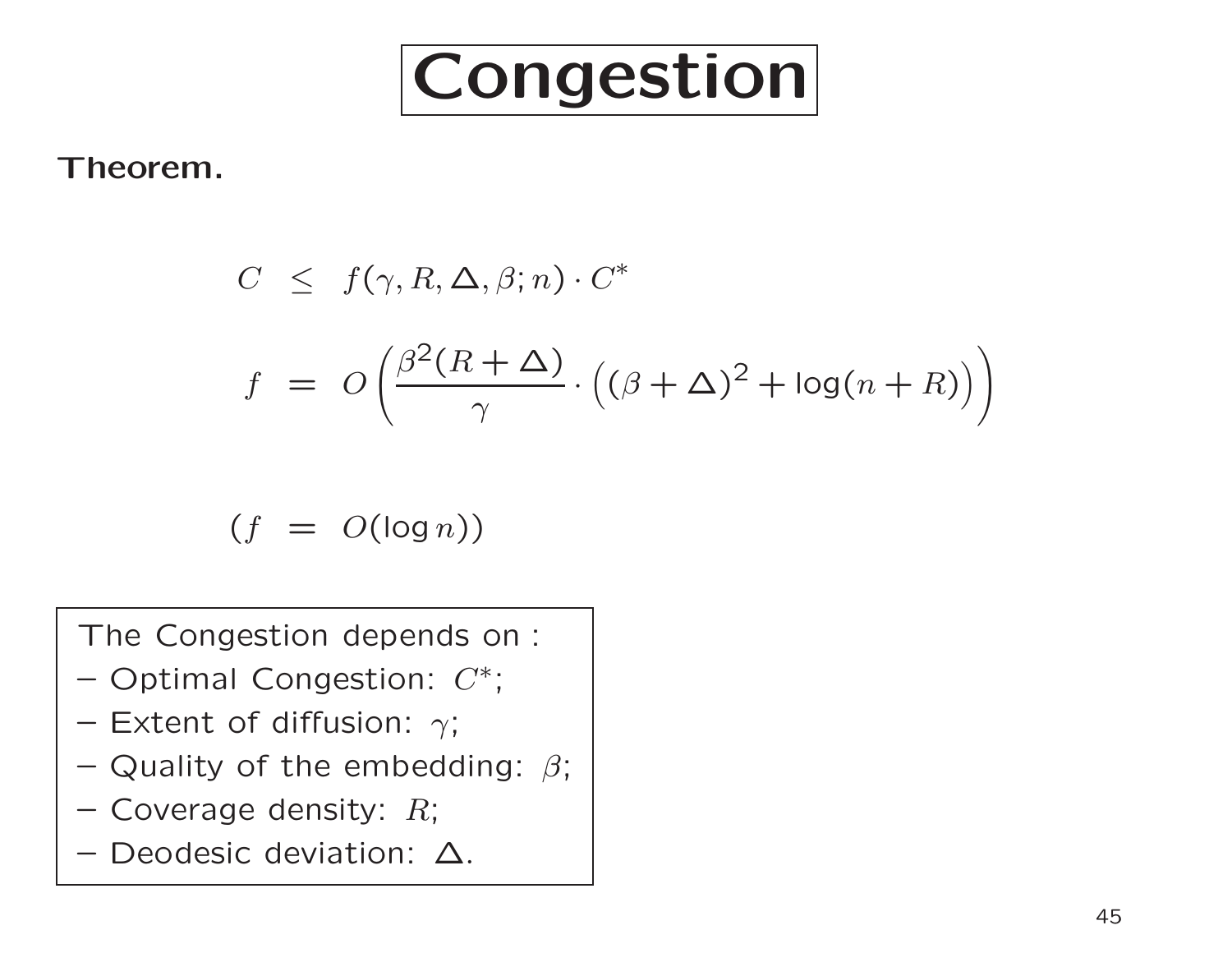

#### Theorem.

$$
C \leq f(\gamma, R, \Delta, \beta; n) \cdot C^*
$$
  

$$
f = O\left(\frac{\beta^2 (R + \Delta)}{\gamma} \cdot ((\beta + \Delta)^2 + \log(n + R))\right)
$$

$$
(f = O(\log n))
$$

The Congestion depends on :

- $-$  Optimal Congestion:  $C^*;$
- Extent of diffusion:  $\gamma;$
- Quality of the embedding:  $\beta;$
- $-$  Coverage density:  $R;$
- –Deodesic deviation: ∆.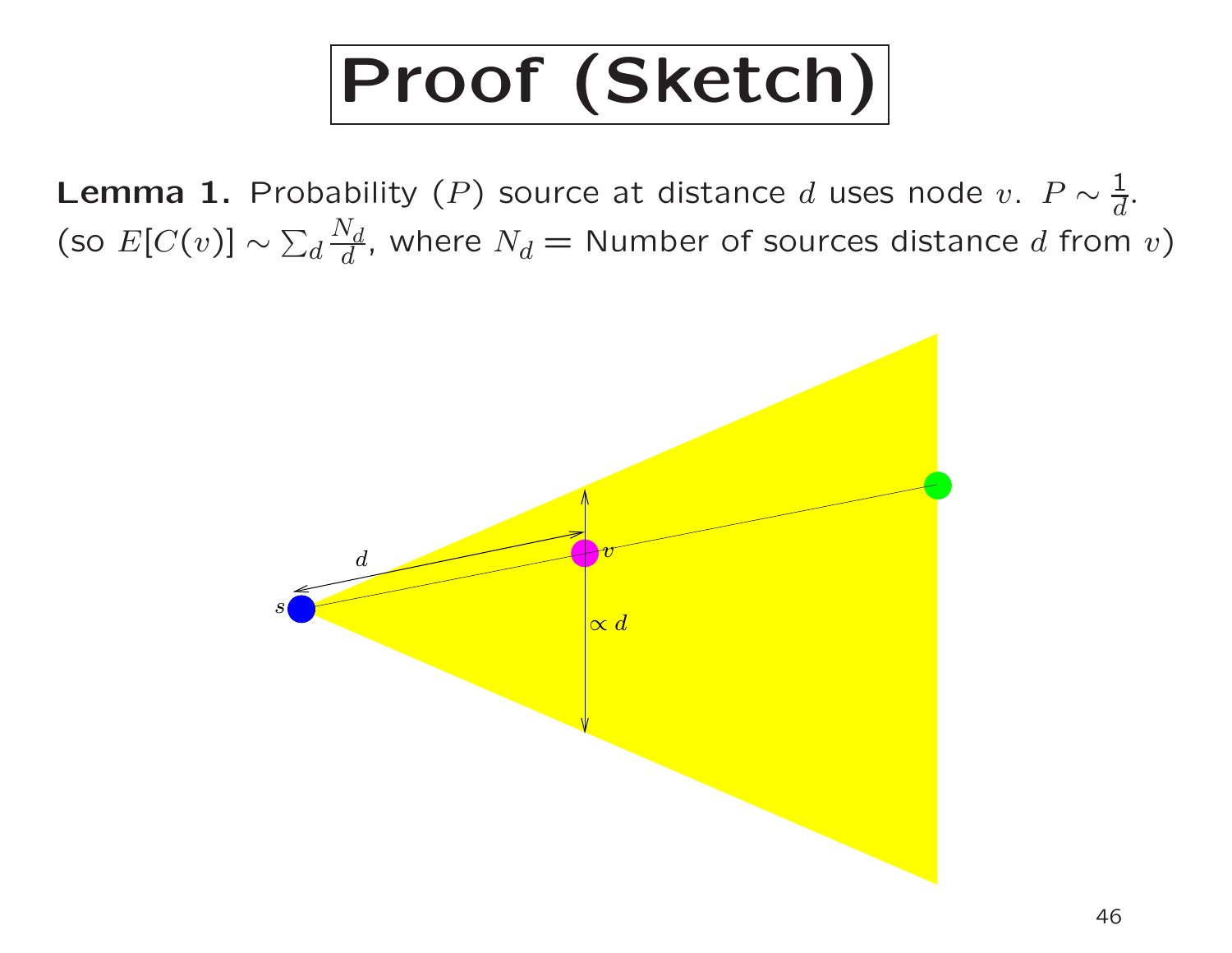# Proof (Sketch)

Lemma 1. Probability  $(P)$  source at distance  $d$  uses node  $v.$   $P \sim \frac{1}{d}$  $\overline{d}$  .  $\overline{\phantom{i}}[{\rm co}\ E[C(v)]\sim \sum_{d} \overline{\phantom{i}}$  $\frac{N_d}{d}$ , where  $N_d =$  Number of sources distance  $d$  from  $v)$ 

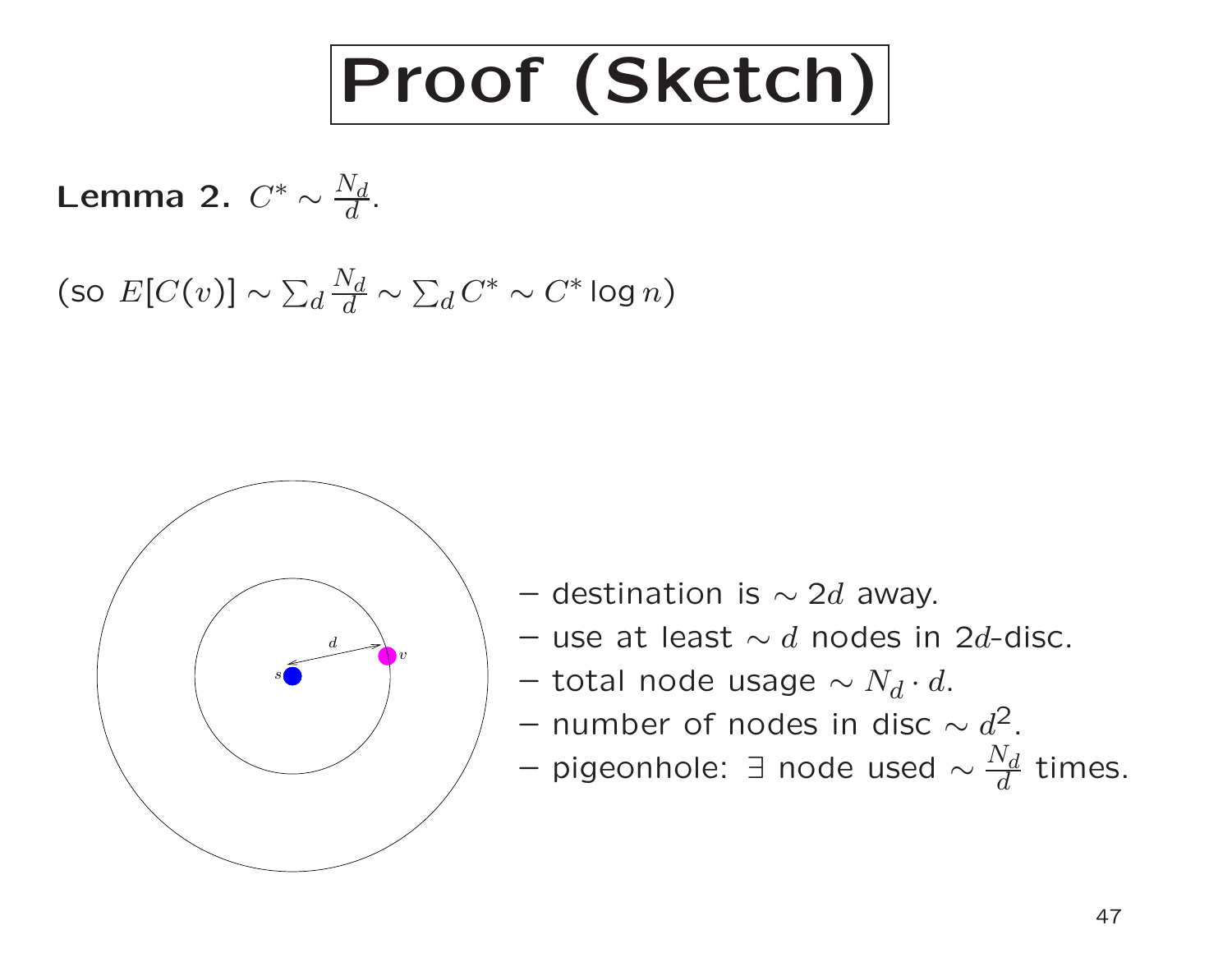

**Lemma 2.** 
$$
C^* \sim \frac{N_d}{d}
$$
.

(so  $E[C(v)] \sim \sum_d$  $N_{\small d}$  $d\,$  $\sim \sum_d C^* \sim C^* \log n$  )



- $-$  destination is  $\sim 2d$  away.
- $-$  use at least  $\sim d$  nodes in 2d-disc.
- $-$  total node usage  $\sim N_d \cdot d.$
- $-$  number of nodes in disc  $\sim d^2.$
- $-$  pigeonhole:  $\exists$  node used  $\sim \frac{N_d}{d}$  times.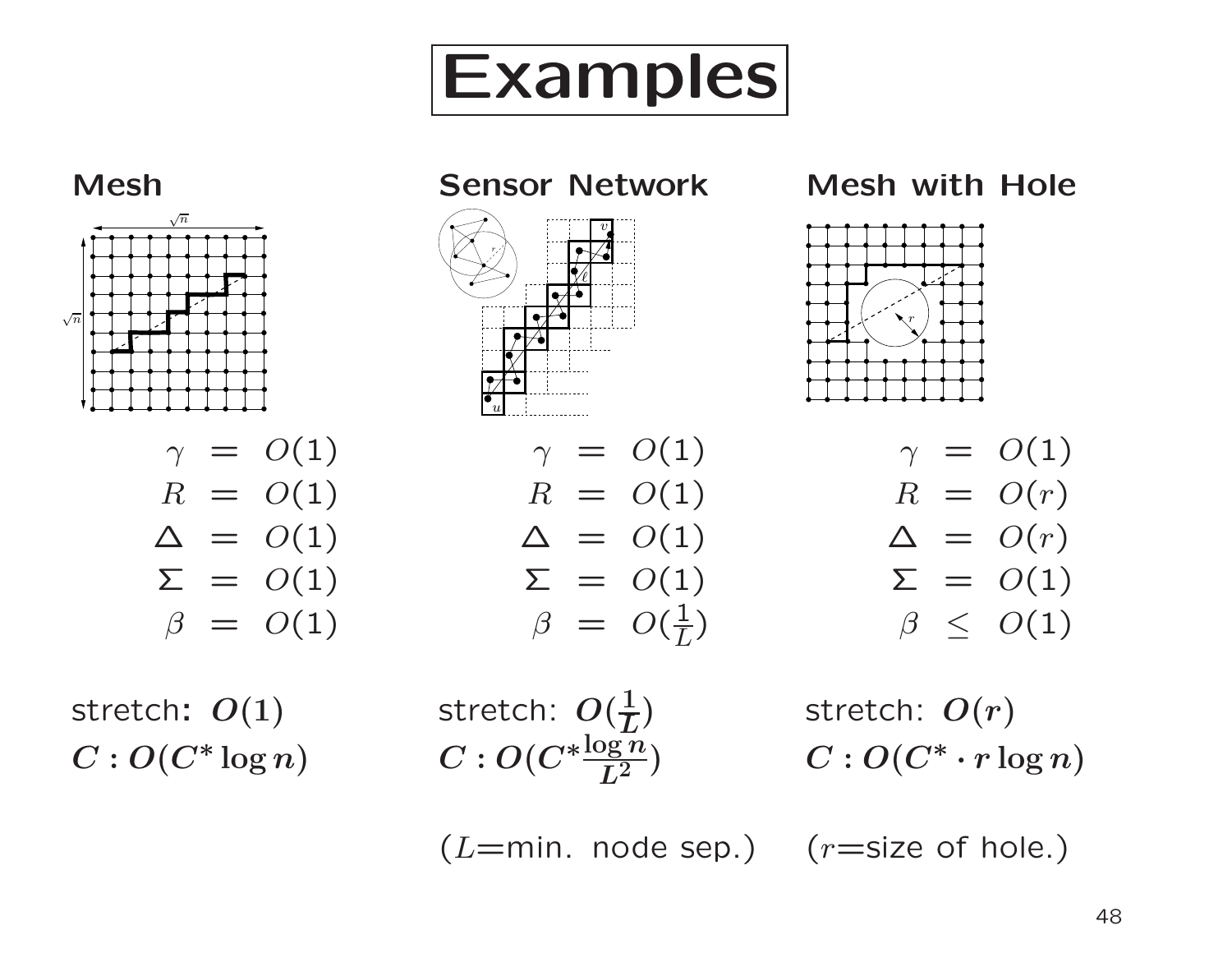



 $(L=min.$  node sep.)  $(r=size of hole.)$